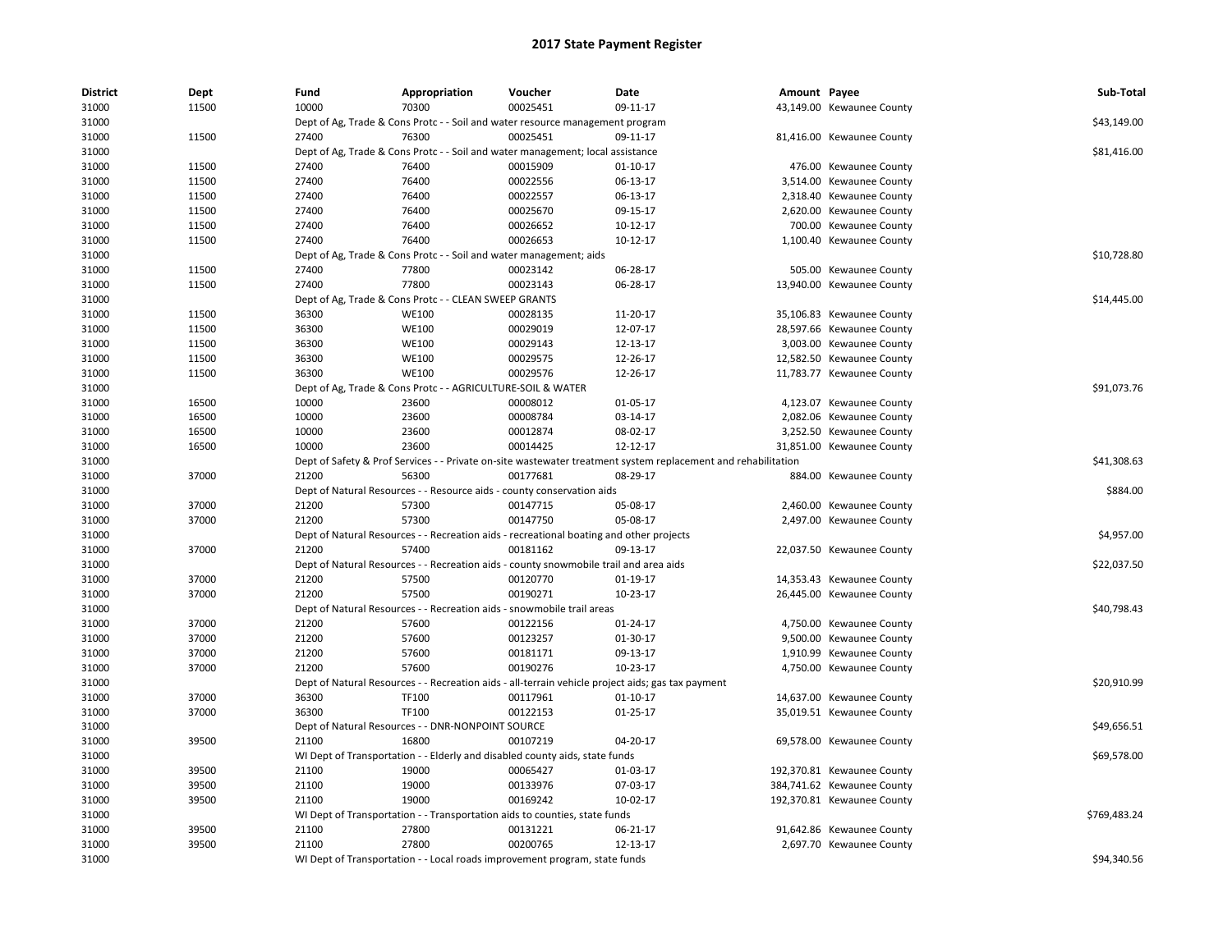| <b>District</b> | Dept  | Fund  | Appropriation                                                                           | Voucher  | Date                                                                                                          | Amount Payee |                            | Sub-Total    |
|-----------------|-------|-------|-----------------------------------------------------------------------------------------|----------|---------------------------------------------------------------------------------------------------------------|--------------|----------------------------|--------------|
| 31000           | 11500 | 10000 | 70300                                                                                   | 00025451 | 09-11-17                                                                                                      |              | 43,149.00 Kewaunee County  |              |
| 31000           |       |       | Dept of Ag, Trade & Cons Protc - - Soil and water resource management program           |          |                                                                                                               |              |                            | \$43,149.00  |
| 31000           | 11500 | 27400 | 76300                                                                                   | 00025451 | 09-11-17                                                                                                      |              | 81,416.00 Kewaunee County  |              |
| 31000           |       |       | Dept of Ag, Trade & Cons Protc - - Soil and water management; local assistance          |          |                                                                                                               |              |                            | \$81,416.00  |
| 31000           | 11500 | 27400 | 76400                                                                                   | 00015909 | $01 - 10 - 17$                                                                                                |              | 476.00 Kewaunee County     |              |
| 31000           | 11500 | 27400 | 76400                                                                                   | 00022556 | 06-13-17                                                                                                      |              | 3,514.00 Kewaunee County   |              |
| 31000           | 11500 | 27400 | 76400                                                                                   | 00022557 | 06-13-17                                                                                                      |              | 2,318.40 Kewaunee County   |              |
| 31000           | 11500 | 27400 | 76400                                                                                   | 00025670 | 09-15-17                                                                                                      |              | 2,620.00 Kewaunee County   |              |
| 31000           | 11500 | 27400 | 76400                                                                                   | 00026652 | 10-12-17                                                                                                      |              | 700.00 Kewaunee County     |              |
| 31000           | 11500 | 27400 | 76400                                                                                   | 00026653 | 10-12-17                                                                                                      |              | 1,100.40 Kewaunee County   |              |
| 31000           |       |       | Dept of Ag, Trade & Cons Protc - - Soil and water management; aids                      |          |                                                                                                               |              |                            | \$10,728.80  |
| 31000           | 11500 | 27400 | 77800                                                                                   | 00023142 | 06-28-17                                                                                                      |              | 505.00 Kewaunee County     |              |
| 31000           | 11500 | 27400 | 77800                                                                                   | 00023143 | 06-28-17                                                                                                      |              | 13,940.00 Kewaunee County  |              |
| 31000           |       |       | Dept of Ag, Trade & Cons Protc - - CLEAN SWEEP GRANTS                                   |          |                                                                                                               |              |                            | \$14,445.00  |
| 31000           | 11500 | 36300 | <b>WE100</b>                                                                            | 00028135 | 11-20-17                                                                                                      |              | 35,106.83 Kewaunee County  |              |
| 31000           | 11500 | 36300 | <b>WE100</b>                                                                            | 00029019 | 12-07-17                                                                                                      |              | 28,597.66 Kewaunee County  |              |
| 31000           | 11500 | 36300 | <b>WE100</b>                                                                            | 00029143 | 12-13-17                                                                                                      |              | 3,003.00 Kewaunee County   |              |
| 31000           | 11500 | 36300 | <b>WE100</b>                                                                            | 00029575 | 12-26-17                                                                                                      |              | 12,582.50 Kewaunee County  |              |
| 31000           | 11500 | 36300 | <b>WE100</b>                                                                            | 00029576 | 12-26-17                                                                                                      |              | 11,783.77 Kewaunee County  |              |
| 31000           |       |       | Dept of Ag, Trade & Cons Protc - - AGRICULTURE-SOIL & WATER                             |          |                                                                                                               |              |                            | \$91,073.76  |
| 31000           | 16500 | 10000 | 23600                                                                                   | 00008012 | 01-05-17                                                                                                      |              | 4,123.07 Kewaunee County   |              |
| 31000           | 16500 | 10000 | 23600                                                                                   | 00008784 | 03-14-17                                                                                                      |              | 2,082.06 Kewaunee County   |              |
| 31000           | 16500 | 10000 | 23600                                                                                   | 00012874 | 08-02-17                                                                                                      |              | 3,252.50 Kewaunee County   |              |
| 31000           | 16500 | 10000 | 23600                                                                                   | 00014425 | 12-12-17                                                                                                      |              | 31,851.00 Kewaunee County  |              |
| 31000           |       |       |                                                                                         |          | Dept of Safety & Prof Services - - Private on-site wastewater treatment system replacement and rehabilitation |              |                            | \$41,308.63  |
| 31000           | 37000 | 21200 | 56300                                                                                   | 00177681 | 08-29-17                                                                                                      |              | 884.00 Kewaunee County     |              |
| 31000           |       |       | Dept of Natural Resources - - Resource aids - county conservation aids                  |          |                                                                                                               |              |                            | \$884.00     |
| 31000           | 37000 | 21200 | 57300                                                                                   | 00147715 | 05-08-17                                                                                                      |              | 2,460.00 Kewaunee County   |              |
| 31000           | 37000 | 21200 | 57300                                                                                   | 00147750 | 05-08-17                                                                                                      |              | 2,497.00 Kewaunee County   |              |
| 31000           |       |       |                                                                                         |          |                                                                                                               |              |                            | \$4,957.00   |
|                 |       |       | Dept of Natural Resources - - Recreation aids - recreational boating and other projects |          |                                                                                                               |              |                            |              |
| 31000           | 37000 | 21200 | 57400                                                                                   | 00181162 | 09-13-17                                                                                                      |              | 22,037.50 Kewaunee County  |              |
| 31000           |       |       | Dept of Natural Resources - - Recreation aids - county snowmobile trail and area aids   |          |                                                                                                               |              |                            | \$22,037.50  |
| 31000           | 37000 | 21200 | 57500                                                                                   | 00120770 | 01-19-17                                                                                                      |              | 14,353.43 Kewaunee County  |              |
| 31000           | 37000 | 21200 | 57500                                                                                   | 00190271 | 10-23-17                                                                                                      |              | 26,445.00 Kewaunee County  |              |
| 31000           |       |       | Dept of Natural Resources - - Recreation aids - snowmobile trail areas                  |          |                                                                                                               |              |                            | \$40,798.43  |
| 31000           | 37000 | 21200 | 57600                                                                                   | 00122156 | 01-24-17                                                                                                      |              | 4,750.00 Kewaunee County   |              |
| 31000           | 37000 | 21200 | 57600                                                                                   | 00123257 | 01-30-17                                                                                                      |              | 9,500.00 Kewaunee County   |              |
| 31000           | 37000 | 21200 | 57600                                                                                   | 00181171 | 09-13-17                                                                                                      |              | 1,910.99 Kewaunee County   |              |
| 31000           | 37000 | 21200 | 57600                                                                                   | 00190276 | 10-23-17                                                                                                      |              | 4,750.00 Kewaunee County   |              |
| 31000           |       |       |                                                                                         |          | Dept of Natural Resources - - Recreation aids - all-terrain vehicle project aids; gas tax payment             |              |                            | \$20,910.99  |
| 31000           | 37000 | 36300 | TF100                                                                                   | 00117961 | $01 - 10 - 17$                                                                                                |              | 14,637.00 Kewaunee County  |              |
| 31000           | 37000 | 36300 | TF100                                                                                   | 00122153 | $01-25-17$                                                                                                    |              | 35,019.51 Kewaunee County  |              |
| 31000           |       |       | Dept of Natural Resources - - DNR-NONPOINT SOURCE                                       |          |                                                                                                               |              |                            | \$49,656.51  |
| 31000           | 39500 | 21100 | 16800                                                                                   | 00107219 | 04-20-17                                                                                                      |              | 69,578.00 Kewaunee County  |              |
| 31000           |       |       | WI Dept of Transportation - - Elderly and disabled county aids, state funds             |          |                                                                                                               |              |                            | \$69,578.00  |
| 31000           | 39500 | 21100 | 19000                                                                                   | 00065427 | 01-03-17                                                                                                      |              | 192,370.81 Kewaunee County |              |
| 31000           | 39500 | 21100 | 19000                                                                                   | 00133976 | 07-03-17                                                                                                      |              | 384,741.62 Kewaunee County |              |
| 31000           | 39500 | 21100 | 19000                                                                                   | 00169242 | 10-02-17                                                                                                      |              | 192,370.81 Kewaunee County |              |
| 31000           |       |       | WI Dept of Transportation - - Transportation aids to counties, state funds              |          |                                                                                                               |              |                            | \$769,483.24 |
| 31000           | 39500 | 21100 | 27800                                                                                   | 00131221 | 06-21-17                                                                                                      |              | 91,642.86 Kewaunee County  |              |
| 31000           | 39500 | 21100 | 27800                                                                                   | 00200765 | 12-13-17                                                                                                      |              | 2,697.70 Kewaunee County   |              |
| 31000           |       |       | WI Dept of Transportation - - Local roads improvement program, state funds              |          |                                                                                                               |              |                            | \$94,340.56  |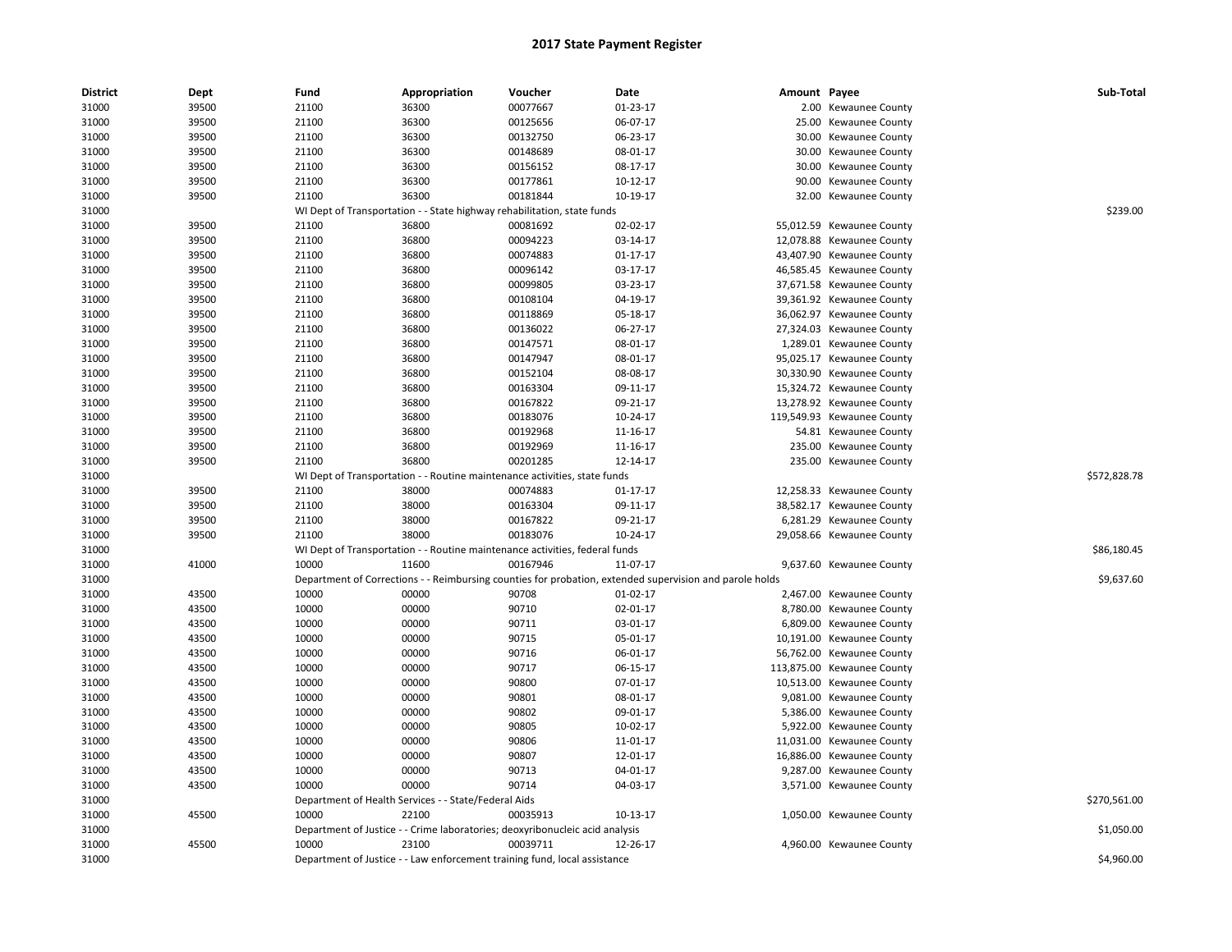| <b>District</b> | Dept  | Fund  | Appropriation                                        | Voucher                                                                      | Date                                                                                                    | Amount Payee |                            | Sub-Total    |
|-----------------|-------|-------|------------------------------------------------------|------------------------------------------------------------------------------|---------------------------------------------------------------------------------------------------------|--------------|----------------------------|--------------|
| 31000           | 39500 | 21100 | 36300                                                | 00077667                                                                     | 01-23-17                                                                                                |              | 2.00 Kewaunee County       |              |
| 31000           | 39500 | 21100 | 36300                                                | 00125656                                                                     | 06-07-17                                                                                                | 25.00        | Kewaunee County            |              |
| 31000           | 39500 | 21100 | 36300                                                | 00132750                                                                     | 06-23-17                                                                                                |              | 30.00 Kewaunee County      |              |
| 31000           | 39500 | 21100 | 36300                                                | 00148689                                                                     | 08-01-17                                                                                                |              | 30.00 Kewaunee County      |              |
| 31000           | 39500 | 21100 | 36300                                                | 00156152                                                                     | 08-17-17                                                                                                | 30.00        | Kewaunee County            |              |
| 31000           | 39500 | 21100 | 36300                                                | 00177861                                                                     | 10-12-17                                                                                                | 90.00        | Kewaunee County            |              |
| 31000           | 39500 | 21100 | 36300                                                | 00181844                                                                     | 10-19-17                                                                                                |              | 32.00 Kewaunee County      |              |
| 31000           |       |       |                                                      | WI Dept of Transportation - - State highway rehabilitation, state funds      |                                                                                                         |              |                            | \$239.00     |
| 31000           | 39500 | 21100 | 36800                                                | 00081692                                                                     | 02-02-17                                                                                                |              | 55,012.59 Kewaunee County  |              |
| 31000           | 39500 | 21100 | 36800                                                | 00094223                                                                     | 03-14-17                                                                                                |              | 12,078.88 Kewaunee County  |              |
| 31000           | 39500 | 21100 | 36800                                                | 00074883                                                                     | $01 - 17 - 17$                                                                                          |              | 43,407.90 Kewaunee County  |              |
| 31000           | 39500 | 21100 | 36800                                                | 00096142                                                                     | 03-17-17                                                                                                |              | 46,585.45 Kewaunee County  |              |
| 31000           | 39500 | 21100 | 36800                                                | 00099805                                                                     | 03-23-17                                                                                                |              | 37,671.58 Kewaunee County  |              |
| 31000           | 39500 | 21100 | 36800                                                | 00108104                                                                     | 04-19-17                                                                                                |              | 39,361.92 Kewaunee County  |              |
| 31000           | 39500 | 21100 | 36800                                                | 00118869                                                                     | 05-18-17                                                                                                |              | 36,062.97 Kewaunee County  |              |
| 31000           | 39500 | 21100 | 36800                                                | 00136022                                                                     | 06-27-17                                                                                                |              | 27,324.03 Kewaunee County  |              |
| 31000           | 39500 | 21100 | 36800                                                | 00147571                                                                     | 08-01-17                                                                                                |              | 1,289.01 Kewaunee County   |              |
| 31000           | 39500 | 21100 | 36800                                                | 00147947                                                                     | 08-01-17                                                                                                |              | 95,025.17 Kewaunee County  |              |
| 31000           | 39500 | 21100 | 36800                                                | 00152104                                                                     | 08-08-17                                                                                                |              | 30,330.90 Kewaunee County  |              |
| 31000           | 39500 | 21100 | 36800                                                | 00163304                                                                     | 09-11-17                                                                                                |              | 15,324.72 Kewaunee County  |              |
| 31000           | 39500 | 21100 | 36800                                                | 00167822                                                                     | 09-21-17                                                                                                |              | 13,278.92 Kewaunee County  |              |
| 31000           | 39500 | 21100 | 36800                                                | 00183076                                                                     | 10-24-17                                                                                                |              | 119,549.93 Kewaunee County |              |
| 31000           | 39500 | 21100 | 36800                                                | 00192968                                                                     | 11-16-17                                                                                                |              | 54.81 Kewaunee County      |              |
| 31000           | 39500 | 21100 | 36800                                                | 00192969                                                                     | 11-16-17                                                                                                |              | 235.00 Kewaunee County     |              |
| 31000           | 39500 | 21100 | 36800                                                | 00201285                                                                     | 12-14-17                                                                                                |              | 235.00 Kewaunee County     |              |
| 31000           |       |       |                                                      | WI Dept of Transportation - - Routine maintenance activities, state funds    |                                                                                                         |              |                            | \$572,828.78 |
| 31000           | 39500 | 21100 | 38000                                                | 00074883                                                                     | 01-17-17                                                                                                |              | 12,258.33 Kewaunee County  |              |
| 31000           | 39500 | 21100 | 38000                                                | 00163304                                                                     | 09-11-17                                                                                                |              | 38,582.17 Kewaunee County  |              |
| 31000           | 39500 | 21100 | 38000                                                | 00167822                                                                     | 09-21-17                                                                                                |              | 6,281.29 Kewaunee County   |              |
| 31000           | 39500 | 21100 | 38000                                                | 00183076                                                                     | 10-24-17                                                                                                |              | 29,058.66 Kewaunee County  |              |
| 31000           |       |       |                                                      | WI Dept of Transportation - - Routine maintenance activities, federal funds  |                                                                                                         |              |                            | \$86,180.45  |
| 31000           | 41000 | 10000 | 11600                                                | 00167946                                                                     | 11-07-17                                                                                                |              | 9,637.60 Kewaunee County   |              |
| 31000           |       |       |                                                      |                                                                              | Department of Corrections - - Reimbursing counties for probation, extended supervision and parole holds |              |                            | \$9,637.60   |
| 31000           | 43500 | 10000 | 00000                                                | 90708                                                                        | $01-02-17$                                                                                              |              | 2,467.00 Kewaunee County   |              |
| 31000           | 43500 | 10000 | 00000                                                | 90710                                                                        | 02-01-17                                                                                                |              | 8,780.00 Kewaunee County   |              |
| 31000           | 43500 | 10000 | 00000                                                | 90711                                                                        | 03-01-17                                                                                                |              | 6,809.00 Kewaunee County   |              |
| 31000           | 43500 | 10000 | 00000                                                | 90715                                                                        | 05-01-17                                                                                                |              | 10,191.00 Kewaunee County  |              |
| 31000           | 43500 | 10000 | 00000                                                | 90716                                                                        | 06-01-17                                                                                                |              | 56,762.00 Kewaunee County  |              |
| 31000           | 43500 | 10000 | 00000                                                | 90717                                                                        | 06-15-17                                                                                                | 113,875.00   | <b>Kewaunee County</b>     |              |
| 31000           | 43500 | 10000 | 00000                                                | 90800                                                                        | 07-01-17                                                                                                |              | 10,513.00 Kewaunee County  |              |
| 31000           | 43500 | 10000 | 00000                                                | 90801                                                                        | 08-01-17                                                                                                |              | 9,081.00 Kewaunee County   |              |
| 31000           | 43500 | 10000 | 00000                                                | 90802                                                                        | 09-01-17                                                                                                |              | 5,386.00 Kewaunee County   |              |
| 31000           | 43500 | 10000 | 00000                                                | 90805                                                                        | 10-02-17                                                                                                |              | 5,922.00 Kewaunee County   |              |
| 31000           | 43500 | 10000 | 00000                                                | 90806                                                                        | 11-01-17                                                                                                | 11,031.00    | Kewaunee County            |              |
| 31000           | 43500 | 10000 | 00000                                                | 90807                                                                        | 12-01-17                                                                                                |              | 16,886.00 Kewaunee County  |              |
| 31000           | 43500 | 10000 | 00000                                                | 90713                                                                        | 04-01-17                                                                                                |              | 9,287.00 Kewaunee County   |              |
| 31000           | 43500 | 10000 | 00000                                                | 90714                                                                        | 04-03-17                                                                                                |              | 3,571.00 Kewaunee County   |              |
| 31000           |       |       | Department of Health Services - - State/Federal Aids |                                                                              |                                                                                                         |              |                            | \$270,561.00 |
|                 | 45500 | 10000 | 22100                                                | 00035913                                                                     | 10-13-17                                                                                                |              | 1,050.00 Kewaunee County   |              |
| 31000<br>31000  |       |       |                                                      | Department of Justice - - Crime laboratories; deoxyribonucleic acid analysis |                                                                                                         |              |                            | \$1,050.00   |
| 31000           | 45500 | 10000 | 23100                                                | 00039711                                                                     | 12-26-17                                                                                                |              | 4,960.00 Kewaunee County   |              |
|                 |       |       |                                                      |                                                                              |                                                                                                         |              |                            | \$4,960.00   |
| 31000           |       |       |                                                      | Department of Justice - - Law enforcement training fund, local assistance    |                                                                                                         |              |                            |              |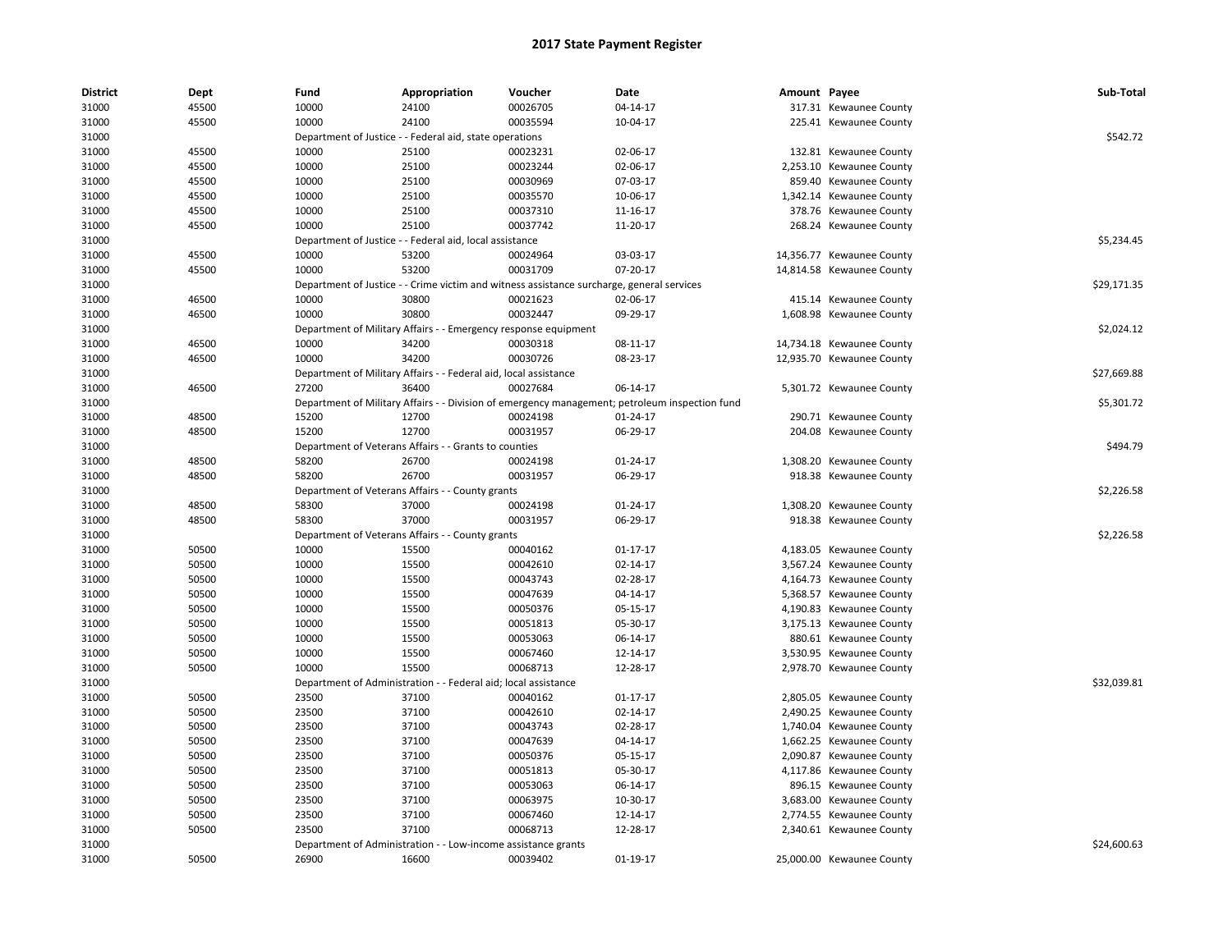| <b>District</b> | Dept  | Fund  | Appropriation                                                    | Voucher                                                                                   | Date                                                                                           | Amount Payee |                           | Sub-Total   |
|-----------------|-------|-------|------------------------------------------------------------------|-------------------------------------------------------------------------------------------|------------------------------------------------------------------------------------------------|--------------|---------------------------|-------------|
| 31000           | 45500 | 10000 | 24100                                                            | 00026705                                                                                  | 04-14-17                                                                                       |              | 317.31 Kewaunee County    |             |
| 31000           | 45500 | 10000 | 24100                                                            | 00035594                                                                                  | 10-04-17                                                                                       |              | 225.41 Kewaunee County    |             |
| 31000           |       |       | Department of Justice - - Federal aid, state operations          |                                                                                           |                                                                                                |              |                           | \$542.72    |
| 31000           | 45500 | 10000 | 25100                                                            | 00023231                                                                                  | 02-06-17                                                                                       |              | 132.81 Kewaunee County    |             |
| 31000           | 45500 | 10000 | 25100                                                            | 00023244                                                                                  | 02-06-17                                                                                       |              | 2,253.10 Kewaunee County  |             |
| 31000           | 45500 | 10000 | 25100                                                            | 00030969                                                                                  | 07-03-17                                                                                       |              | 859.40 Kewaunee County    |             |
| 31000           | 45500 | 10000 | 25100                                                            | 00035570                                                                                  | 10-06-17                                                                                       |              | 1,342.14 Kewaunee County  |             |
| 31000           | 45500 | 10000 | 25100                                                            | 00037310                                                                                  | 11-16-17                                                                                       |              | 378.76 Kewaunee County    |             |
| 31000           | 45500 | 10000 | 25100                                                            | 00037742                                                                                  | 11-20-17                                                                                       |              | 268.24 Kewaunee County    |             |
| 31000           |       |       | Department of Justice - - Federal aid, local assistance          |                                                                                           |                                                                                                |              |                           | \$5,234.45  |
| 31000           | 45500 | 10000 | 53200                                                            | 00024964                                                                                  | 03-03-17                                                                                       |              | 14,356.77 Kewaunee County |             |
| 31000           | 45500 | 10000 | 53200                                                            | 00031709                                                                                  | 07-20-17                                                                                       |              | 14,814.58 Kewaunee County |             |
| 31000           |       |       |                                                                  | Department of Justice - - Crime victim and witness assistance surcharge, general services |                                                                                                |              |                           | \$29,171.35 |
| 31000           | 46500 | 10000 | 30800                                                            | 00021623                                                                                  | 02-06-17                                                                                       |              | 415.14 Kewaunee County    |             |
| 31000           | 46500 | 10000 | 30800                                                            | 00032447                                                                                  | 09-29-17                                                                                       |              | 1,608.98 Kewaunee County  |             |
| 31000           |       |       | Department of Military Affairs - - Emergency response equipment  |                                                                                           |                                                                                                |              |                           | \$2,024.12  |
| 31000           | 46500 | 10000 | 34200                                                            | 00030318                                                                                  | 08-11-17                                                                                       |              | 14,734.18 Kewaunee County |             |
| 31000           | 46500 | 10000 | 34200                                                            | 00030726                                                                                  | 08-23-17                                                                                       |              | 12,935.70 Kewaunee County |             |
| 31000           |       |       | Department of Military Affairs - - Federal aid, local assistance |                                                                                           |                                                                                                |              |                           | \$27,669.88 |
| 31000           | 46500 | 27200 | 36400                                                            | 00027684                                                                                  | 06-14-17                                                                                       |              | 5,301.72 Kewaunee County  |             |
| 31000           |       |       |                                                                  |                                                                                           | Department of Military Affairs - - Division of emergency management; petroleum inspection fund |              |                           | \$5,301.72  |
| 31000           | 48500 | 15200 | 12700                                                            | 00024198                                                                                  | $01 - 24 - 17$                                                                                 |              | 290.71 Kewaunee County    |             |
| 31000           | 48500 | 15200 | 12700                                                            | 00031957                                                                                  | 06-29-17                                                                                       |              | 204.08 Kewaunee County    |             |
| 31000           |       |       | Department of Veterans Affairs - - Grants to counties            |                                                                                           |                                                                                                |              |                           | \$494.79    |
| 31000           | 48500 | 58200 | 26700                                                            | 00024198                                                                                  | 01-24-17                                                                                       |              | 1,308.20 Kewaunee County  |             |
| 31000           | 48500 | 58200 | 26700                                                            | 00031957                                                                                  | 06-29-17                                                                                       |              | 918.38 Kewaunee County    |             |
| 31000           |       |       | Department of Veterans Affairs - - County grants                 |                                                                                           |                                                                                                |              |                           | \$2,226.58  |
| 31000           | 48500 | 58300 | 37000                                                            | 00024198                                                                                  | $01 - 24 - 17$                                                                                 |              | 1,308.20 Kewaunee County  |             |
| 31000           | 48500 | 58300 | 37000                                                            | 00031957                                                                                  | 06-29-17                                                                                       |              | 918.38 Kewaunee County    |             |
| 31000           |       |       | Department of Veterans Affairs - - County grants                 |                                                                                           |                                                                                                |              |                           | \$2,226.58  |
| 31000           | 50500 | 10000 | 15500                                                            | 00040162                                                                                  | 01-17-17                                                                                       |              | 4,183.05 Kewaunee County  |             |
| 31000           | 50500 | 10000 | 15500                                                            | 00042610                                                                                  | $02 - 14 - 17$                                                                                 |              | 3,567.24 Kewaunee County  |             |
| 31000           | 50500 | 10000 | 15500                                                            | 00043743                                                                                  | 02-28-17                                                                                       |              | 4,164.73 Kewaunee County  |             |
| 31000           | 50500 | 10000 | 15500                                                            | 00047639                                                                                  | 04-14-17                                                                                       |              | 5,368.57 Kewaunee County  |             |
| 31000           | 50500 | 10000 | 15500                                                            | 00050376                                                                                  | 05-15-17                                                                                       |              | 4,190.83 Kewaunee County  |             |
| 31000           | 50500 | 10000 | 15500                                                            | 00051813                                                                                  | 05-30-17                                                                                       |              | 3,175.13 Kewaunee County  |             |
| 31000           | 50500 | 10000 | 15500                                                            | 00053063                                                                                  | 06-14-17                                                                                       |              | 880.61 Kewaunee County    |             |
| 31000           | 50500 | 10000 | 15500                                                            | 00067460                                                                                  | 12-14-17                                                                                       |              | 3,530.95 Kewaunee County  |             |
| 31000           | 50500 | 10000 | 15500                                                            | 00068713                                                                                  | 12-28-17                                                                                       |              | 2,978.70 Kewaunee County  |             |
| 31000           |       |       | Department of Administration - - Federal aid; local assistance   |                                                                                           |                                                                                                |              |                           | \$32,039.81 |
| 31000           | 50500 | 23500 | 37100                                                            | 00040162                                                                                  | $01 - 17 - 17$                                                                                 |              | 2,805.05 Kewaunee County  |             |
| 31000           | 50500 | 23500 | 37100                                                            | 00042610                                                                                  | 02-14-17                                                                                       |              | 2,490.25 Kewaunee County  |             |
| 31000           | 50500 | 23500 | 37100                                                            | 00043743                                                                                  | 02-28-17                                                                                       |              | 1,740.04 Kewaunee County  |             |
| 31000           | 50500 | 23500 | 37100                                                            | 00047639                                                                                  | 04-14-17                                                                                       |              | 1,662.25 Kewaunee County  |             |
| 31000           | 50500 | 23500 | 37100                                                            | 00050376                                                                                  | 05-15-17                                                                                       |              | 2,090.87 Kewaunee County  |             |
| 31000           | 50500 | 23500 | 37100                                                            | 00051813                                                                                  | 05-30-17                                                                                       |              | 4,117.86 Kewaunee County  |             |
| 31000           | 50500 | 23500 | 37100                                                            | 00053063                                                                                  | 06-14-17                                                                                       |              | 896.15 Kewaunee County    |             |
| 31000           | 50500 | 23500 | 37100                                                            | 00063975                                                                                  | 10-30-17                                                                                       |              | 3,683.00 Kewaunee County  |             |
| 31000           | 50500 | 23500 | 37100                                                            | 00067460                                                                                  | 12-14-17                                                                                       |              | 2,774.55 Kewaunee County  |             |
| 31000           | 50500 | 23500 | 37100                                                            | 00068713                                                                                  | 12-28-17                                                                                       |              | 2,340.61 Kewaunee County  |             |
| 31000           |       |       | Department of Administration - - Low-income assistance grants    |                                                                                           |                                                                                                |              |                           | \$24,600.63 |
| 31000           | 50500 | 26900 | 16600                                                            | 00039402                                                                                  | 01-19-17                                                                                       |              | 25,000.00 Kewaunee County |             |
|                 |       |       |                                                                  |                                                                                           |                                                                                                |              |                           |             |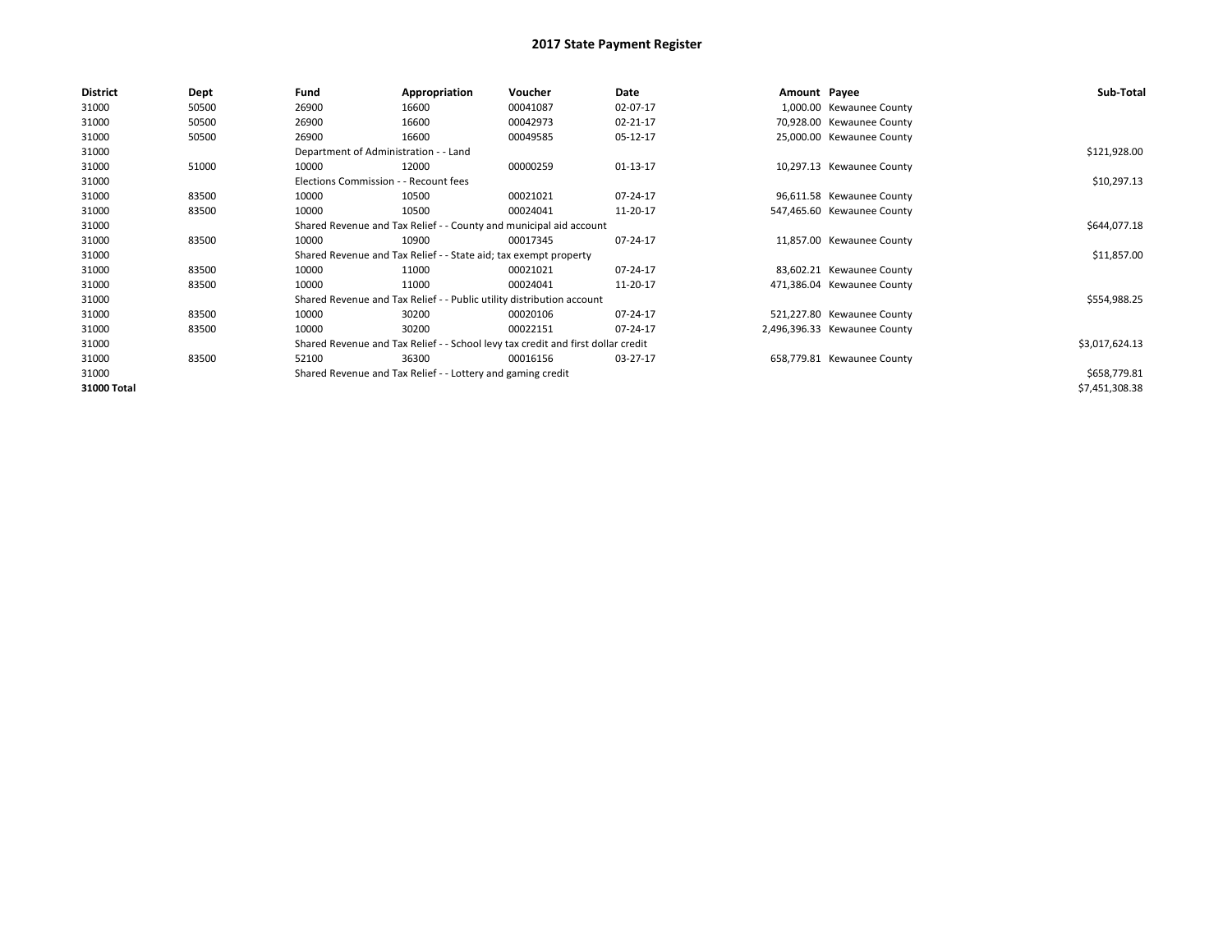| District    | Dept  | Fund                                  | Appropriation                                                                    | Voucher  | Date         | Amount Payee |                              | Sub-Total      |
|-------------|-------|---------------------------------------|----------------------------------------------------------------------------------|----------|--------------|--------------|------------------------------|----------------|
| 31000       | 50500 | 26900                                 | 16600                                                                            | 00041087 | 02-07-17     |              | 1,000.00 Kewaunee County     |                |
| 31000       | 50500 | 26900                                 | 16600                                                                            | 00042973 | 02-21-17     |              | 70,928.00 Kewaunee County    |                |
| 31000       | 50500 | 26900                                 | 16600                                                                            | 00049585 | 05-12-17     |              | 25,000.00 Kewaunee County    |                |
| 31000       |       | Department of Administration - - Land |                                                                                  |          |              |              |                              | \$121,928.00   |
| 31000       | 51000 | 10000                                 | 12000                                                                            | 00000259 | $01-13-17$   |              | 10,297.13 Kewaunee County    |                |
| 31000       |       | Elections Commission - - Recount fees |                                                                                  |          |              |              |                              | \$10,297.13    |
| 31000       | 83500 | 10000                                 | 10500                                                                            | 00021021 | 07-24-17     |              | 96,611.58 Kewaunee County    |                |
| 31000       | 83500 | 10000                                 | 10500                                                                            | 00024041 | 11-20-17     |              | 547,465.60 Kewaunee County   |                |
| 31000       |       |                                       | Shared Revenue and Tax Relief - - County and municipal aid account               |          | \$644,077.18 |              |                              |                |
| 31000       | 83500 | 10000                                 | 10900                                                                            | 00017345 | 07-24-17     |              | 11,857.00 Kewaunee County    |                |
| 31000       |       |                                       | Shared Revenue and Tax Relief - - State aid; tax exempt property                 |          |              |              |                              | \$11,857.00    |
| 31000       | 83500 | 10000                                 | 11000                                                                            | 00021021 | 07-24-17     |              | 83,602.21 Kewaunee County    |                |
| 31000       | 83500 | 10000                                 | 11000                                                                            | 00024041 | 11-20-17     |              | 471,386.04 Kewaunee County   |                |
| 31000       |       |                                       | Shared Revenue and Tax Relief - - Public utility distribution account            |          |              |              |                              | \$554,988.25   |
| 31000       | 83500 | 10000                                 | 30200                                                                            | 00020106 | 07-24-17     |              | 521,227.80 Kewaunee County   |                |
| 31000       | 83500 | 10000                                 | 30200                                                                            | 00022151 | 07-24-17     |              | 2,496,396.33 Kewaunee County |                |
| 31000       |       |                                       | Shared Revenue and Tax Relief - - School levy tax credit and first dollar credit |          |              |              |                              | \$3,017,624.13 |
| 31000       | 83500 | 52100                                 | 36300                                                                            | 00016156 | 03-27-17     |              | 658,779.81 Kewaunee County   |                |
| 31000       |       |                                       | Shared Revenue and Tax Relief - - Lottery and gaming credit                      |          |              |              |                              | \$658,779.81   |
| 31000 Total |       |                                       |                                                                                  |          |              |              |                              | \$7,451,308.38 |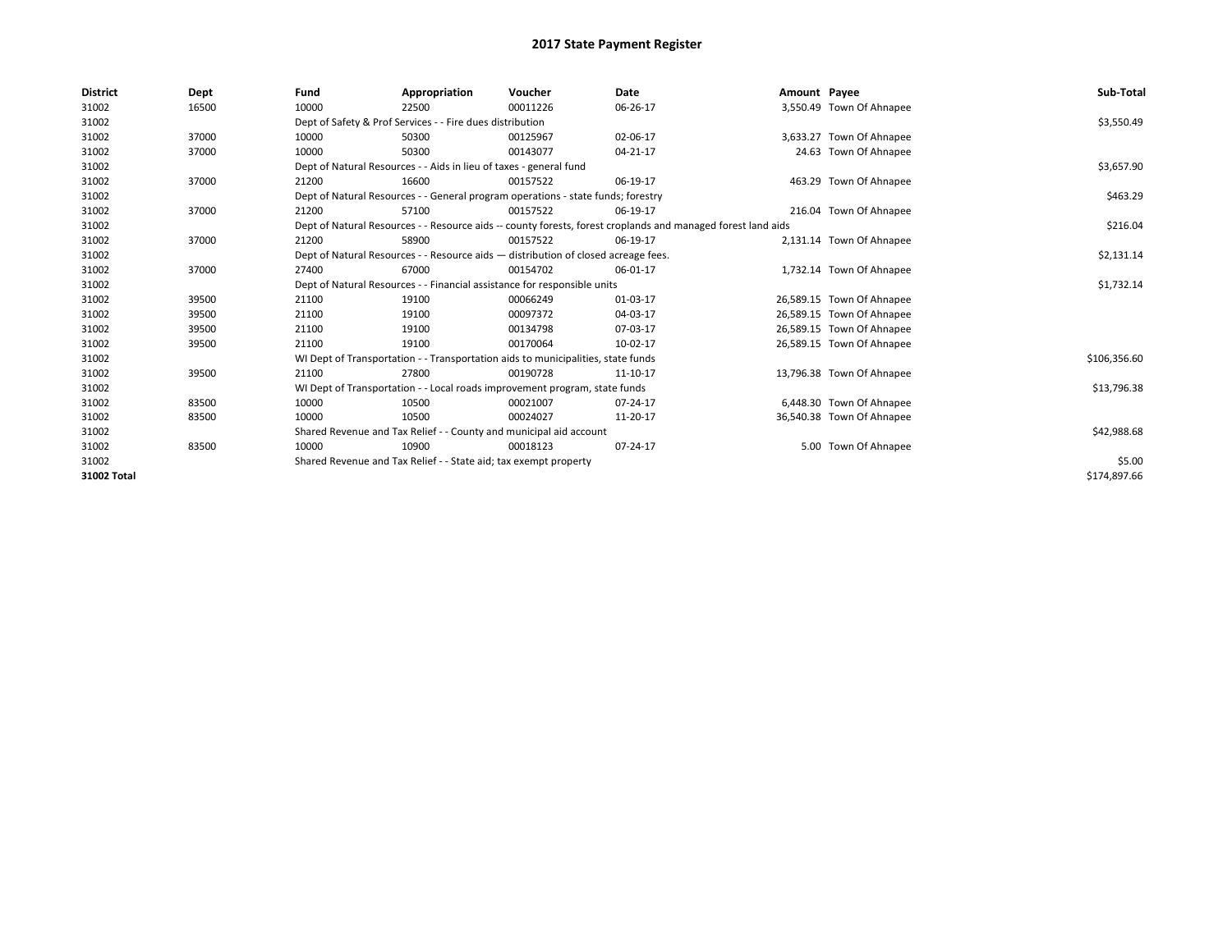| <b>District</b> | Dept  | Fund  | Appropriation                                                                                                | Voucher  | Date     | Amount Payee |                           | Sub-Total    |
|-----------------|-------|-------|--------------------------------------------------------------------------------------------------------------|----------|----------|--------------|---------------------------|--------------|
| 31002           | 16500 | 10000 | 22500                                                                                                        | 00011226 | 06-26-17 |              | 3,550.49 Town Of Ahnapee  |              |
| 31002           |       |       | Dept of Safety & Prof Services - - Fire dues distribution                                                    |          |          |              |                           | \$3,550.49   |
| 31002           | 37000 | 10000 | 50300                                                                                                        | 00125967 | 02-06-17 |              | 3,633.27 Town Of Ahnapee  |              |
| 31002           | 37000 | 10000 | 50300                                                                                                        | 00143077 | 04-21-17 |              | 24.63 Town Of Ahnapee     |              |
| 31002           |       |       | Dept of Natural Resources - - Aids in lieu of taxes - general fund                                           |          |          |              |                           | \$3,657.90   |
| 31002           | 37000 | 21200 | 16600                                                                                                        | 00157522 | 06-19-17 |              | 463.29 Town Of Ahnapee    |              |
| 31002           |       |       | Dept of Natural Resources - - General program operations - state funds; forestry                             |          |          |              |                           | \$463.29     |
| 31002           | 37000 | 21200 | 57100                                                                                                        | 00157522 | 06-19-17 |              | 216.04 Town Of Ahnapee    |              |
| 31002           |       |       | Dept of Natural Resources - - Resource aids -- county forests, forest croplands and managed forest land aids |          | \$216.04 |              |                           |              |
| 31002           | 37000 | 21200 | 58900                                                                                                        | 00157522 | 06-19-17 |              | 2,131.14 Town Of Ahnapee  |              |
| 31002           |       |       | Dept of Natural Resources - - Resource aids - distribution of closed acreage fees.                           |          |          |              |                           | \$2,131.14   |
| 31002           | 37000 | 27400 | 67000                                                                                                        | 00154702 | 06-01-17 |              | 1,732.14 Town Of Ahnapee  |              |
| 31002           |       |       | Dept of Natural Resources - - Financial assistance for responsible units                                     |          |          |              |                           | \$1,732.14   |
| 31002           | 39500 | 21100 | 19100                                                                                                        | 00066249 | 01-03-17 |              | 26,589.15 Town Of Ahnapee |              |
| 31002           | 39500 | 21100 | 19100                                                                                                        | 00097372 | 04-03-17 |              | 26,589.15 Town Of Ahnapee |              |
| 31002           | 39500 | 21100 | 19100                                                                                                        | 00134798 | 07-03-17 |              | 26,589.15 Town Of Ahnapee |              |
| 31002           | 39500 | 21100 | 19100                                                                                                        | 00170064 | 10-02-17 |              | 26,589.15 Town Of Ahnapee |              |
| 31002           |       |       | WI Dept of Transportation - - Transportation aids to municipalities, state funds                             |          |          |              |                           | \$106,356.60 |
| 31002           | 39500 | 21100 | 27800                                                                                                        | 00190728 | 11-10-17 |              | 13,796.38 Town Of Ahnapee |              |
| 31002           |       |       | WI Dept of Transportation - - Local roads improvement program, state funds                                   |          |          |              |                           | \$13,796.38  |
| 31002           | 83500 | 10000 | 10500                                                                                                        | 00021007 | 07-24-17 |              | 6,448.30 Town Of Ahnapee  |              |
| 31002           | 83500 | 10000 | 10500                                                                                                        | 00024027 | 11-20-17 |              | 36,540.38 Town Of Ahnapee |              |
| 31002           |       |       | Shared Revenue and Tax Relief - - County and municipal aid account                                           |          |          |              |                           | \$42,988.68  |
| 31002           | 83500 | 10000 | 10900                                                                                                        | 00018123 | 07-24-17 |              | 5.00 Town Of Ahnapee      |              |
| 31002           |       |       | Shared Revenue and Tax Relief - - State aid; tax exempt property                                             |          |          |              |                           | \$5.00       |
| 31002 Total     |       |       |                                                                                                              |          |          |              |                           | \$174,897.66 |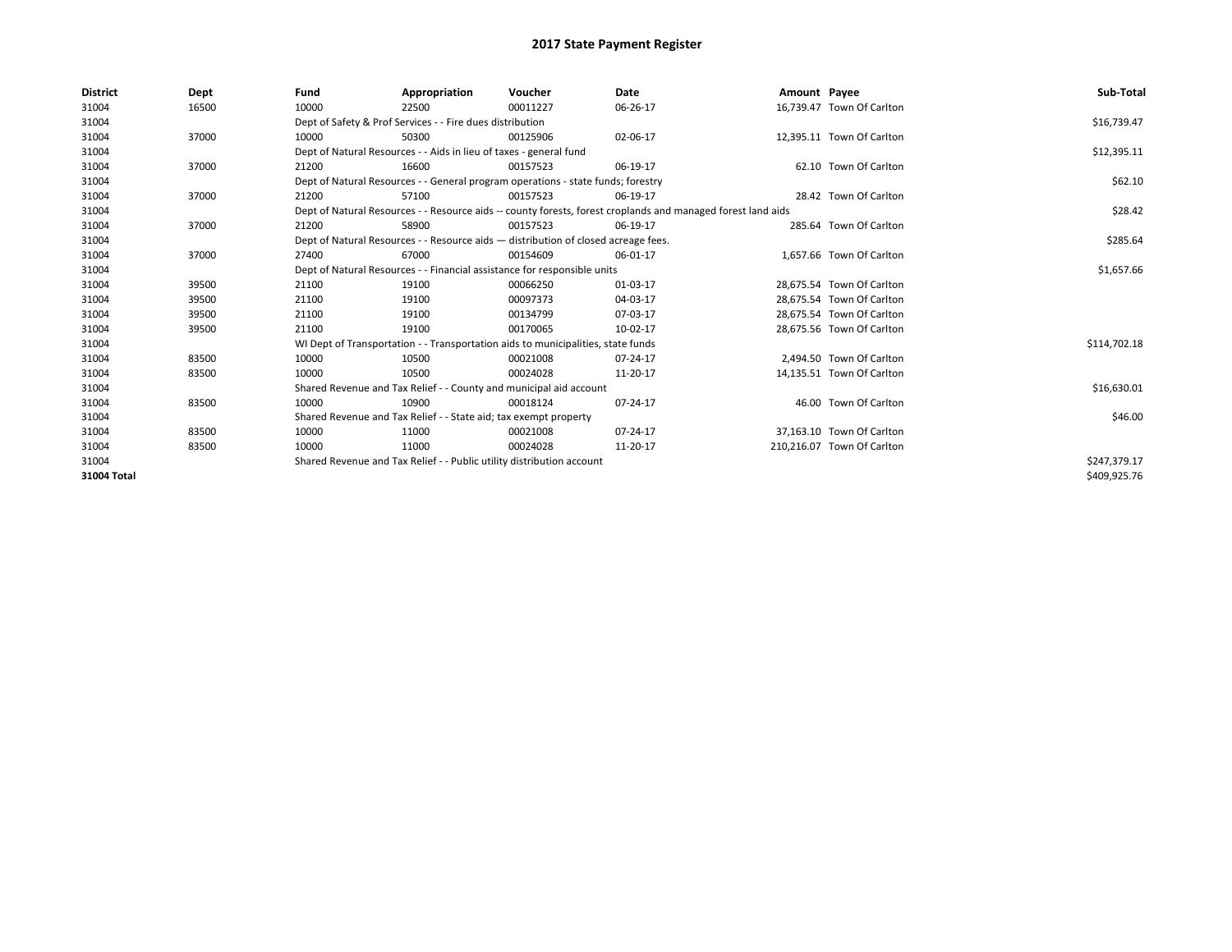| <b>District</b> | Dept  | Fund  | Appropriation                                                                      | Voucher  | Date                                                                                                         | Amount Payee |                            | Sub-Total    |
|-----------------|-------|-------|------------------------------------------------------------------------------------|----------|--------------------------------------------------------------------------------------------------------------|--------------|----------------------------|--------------|
| 31004           | 16500 | 10000 | 22500                                                                              | 00011227 | 06-26-17                                                                                                     |              | 16,739.47 Town Of Carlton  |              |
| 31004           |       |       | Dept of Safety & Prof Services - - Fire dues distribution                          |          |                                                                                                              |              |                            | \$16,739.47  |
| 31004           | 37000 | 10000 | 50300                                                                              | 00125906 | 02-06-17                                                                                                     |              | 12.395.11 Town Of Carlton  |              |
| 31004           |       |       | Dept of Natural Resources - - Aids in lieu of taxes - general fund                 |          |                                                                                                              |              |                            | \$12,395.11  |
| 31004           | 37000 | 21200 | 16600                                                                              | 00157523 | 06-19-17                                                                                                     |              | 62.10 Town Of Carlton      |              |
| 31004           |       |       | Dept of Natural Resources - - General program operations - state funds; forestry   |          |                                                                                                              |              |                            | \$62.10      |
| 31004           | 37000 | 21200 | 57100                                                                              | 00157523 | 06-19-17                                                                                                     |              | 28.42 Town Of Carlton      |              |
| 31004           |       |       |                                                                                    |          | Dept of Natural Resources - - Resource aids -- county forests, forest croplands and managed forest land aids |              |                            | \$28.42      |
| 31004           | 37000 | 21200 | 58900                                                                              | 00157523 | 06-19-17                                                                                                     |              | 285.64 Town Of Carlton     |              |
| 31004           |       |       | Dept of Natural Resources - - Resource aids - distribution of closed acreage fees. |          |                                                                                                              |              |                            | \$285.64     |
| 31004           | 37000 | 27400 | 67000                                                                              | 00154609 | 06-01-17                                                                                                     |              | 1.657.66 Town Of Carlton   |              |
| 31004           |       |       | Dept of Natural Resources - - Financial assistance for responsible units           |          | \$1,657.66                                                                                                   |              |                            |              |
| 31004           | 39500 | 21100 | 19100                                                                              | 00066250 | 01-03-17                                                                                                     |              | 28,675.54 Town Of Carlton  |              |
| 31004           | 39500 | 21100 | 19100                                                                              | 00097373 | 04-03-17                                                                                                     |              | 28,675.54 Town Of Carlton  |              |
| 31004           | 39500 | 21100 | 19100                                                                              | 00134799 | 07-03-17                                                                                                     |              | 28,675.54 Town Of Carlton  |              |
| 31004           | 39500 | 21100 | 19100                                                                              | 00170065 | 10-02-17                                                                                                     |              | 28.675.56 Town Of Carlton  |              |
| 31004           |       |       | WI Dept of Transportation - - Transportation aids to municipalities, state funds   |          |                                                                                                              |              |                            | \$114,702.18 |
| 31004           | 83500 | 10000 | 10500                                                                              | 00021008 | 07-24-17                                                                                                     |              | 2.494.50 Town Of Carlton   |              |
| 31004           | 83500 | 10000 | 10500                                                                              | 00024028 | 11-20-17                                                                                                     |              | 14,135.51 Town Of Carlton  |              |
| 31004           |       |       | Shared Revenue and Tax Relief - - County and municipal aid account                 |          |                                                                                                              |              |                            | \$16,630.01  |
| 31004           | 83500 | 10000 | 10900                                                                              | 00018124 | 07-24-17                                                                                                     |              | 46.00 Town Of Carlton      |              |
| 31004           |       |       | Shared Revenue and Tax Relief - - State aid; tax exempt property                   |          |                                                                                                              |              |                            | \$46.00      |
| 31004           | 83500 | 10000 | 11000                                                                              | 00021008 | 07-24-17                                                                                                     |              | 37.163.10 Town Of Carlton  |              |
| 31004           | 83500 | 10000 | 11000                                                                              | 00024028 | 11-20-17                                                                                                     |              | 210,216.07 Town Of Carlton |              |
| 31004           |       |       | Shared Revenue and Tax Relief - - Public utility distribution account              |          |                                                                                                              |              |                            | \$247,379.17 |
| 31004 Total     |       |       |                                                                                    |          |                                                                                                              |              |                            | \$409,925.76 |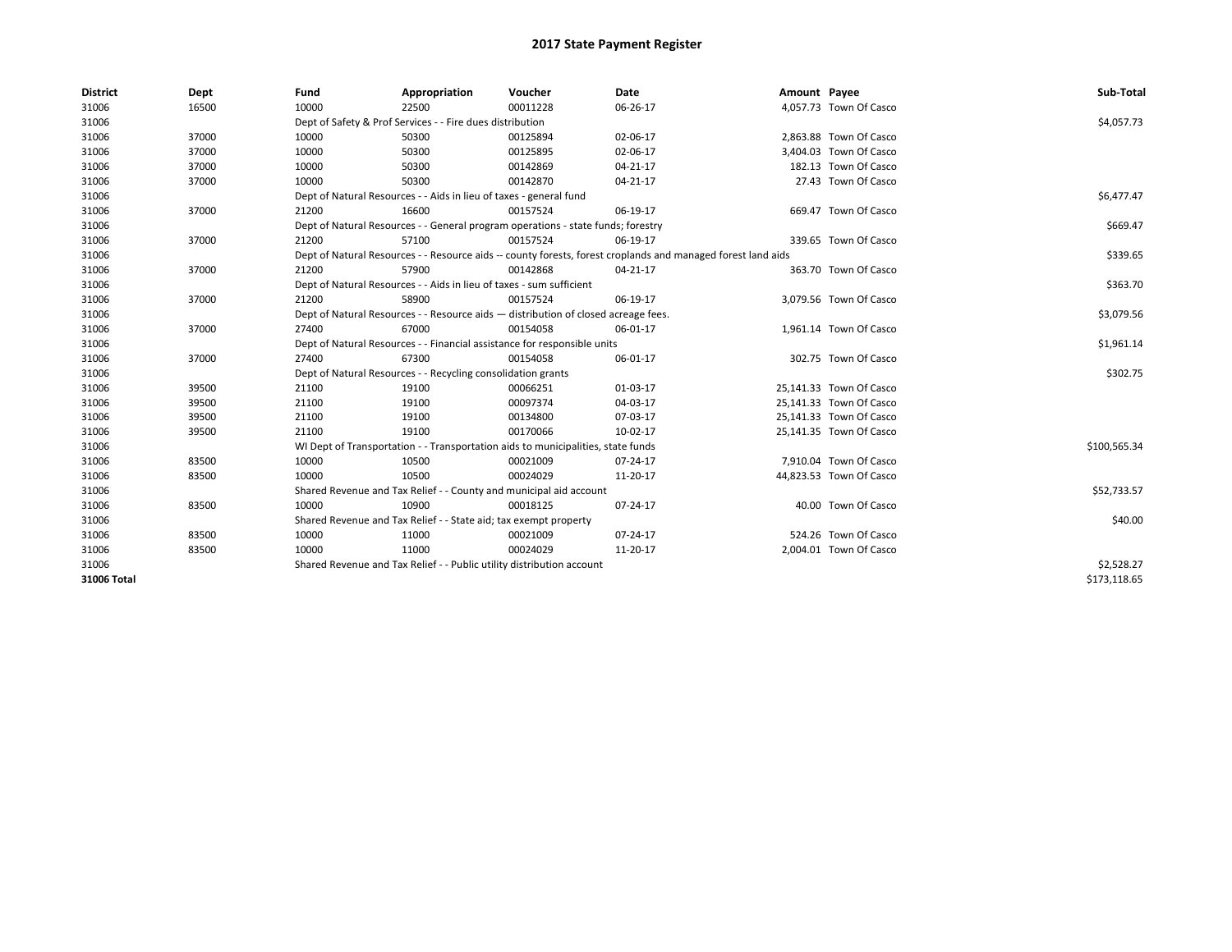| <b>District</b> | Dept  | Fund  | Appropriation                                                                      | Voucher  | Date                                                                                                         | Amount Payee |                         | Sub-Total    |  |  |
|-----------------|-------|-------|------------------------------------------------------------------------------------|----------|--------------------------------------------------------------------------------------------------------------|--------------|-------------------------|--------------|--|--|
| 31006           | 16500 | 10000 | 22500                                                                              | 00011228 | 06-26-17                                                                                                     |              | 4,057.73 Town Of Casco  |              |  |  |
| 31006           |       |       | Dept of Safety & Prof Services - - Fire dues distribution                          |          |                                                                                                              |              |                         | \$4,057.73   |  |  |
| 31006           | 37000 | 10000 | 50300                                                                              | 00125894 | 02-06-17                                                                                                     |              | 2,863.88 Town Of Casco  |              |  |  |
| 31006           | 37000 | 10000 | 50300                                                                              | 00125895 | 02-06-17                                                                                                     |              | 3,404.03 Town Of Casco  |              |  |  |
| 31006           | 37000 | 10000 | 50300                                                                              | 00142869 | 04-21-17                                                                                                     |              | 182.13 Town Of Casco    |              |  |  |
| 31006           | 37000 | 10000 | 50300                                                                              | 00142870 | 04-21-17                                                                                                     |              | 27.43 Town Of Casco     |              |  |  |
| 31006           |       |       | Dept of Natural Resources - - Aids in lieu of taxes - general fund                 |          |                                                                                                              |              |                         | \$6,477.47   |  |  |
| 31006           | 37000 | 21200 | 16600                                                                              | 00157524 | 06-19-17                                                                                                     |              | 669.47 Town Of Casco    |              |  |  |
| 31006           |       |       | Dept of Natural Resources - - General program operations - state funds; forestry   |          |                                                                                                              |              |                         | \$669.47     |  |  |
| 31006           | 37000 | 21200 | 57100                                                                              | 00157524 | 06-19-17                                                                                                     |              | 339.65 Town Of Casco    |              |  |  |
| 31006           |       |       |                                                                                    |          | Dept of Natural Resources - - Resource aids -- county forests, forest croplands and managed forest land aids |              |                         | \$339.65     |  |  |
| 31006           | 37000 | 21200 | 57900                                                                              | 00142868 | 04-21-17                                                                                                     |              | 363.70 Town Of Casco    |              |  |  |
| 31006           |       |       | Dept of Natural Resources - - Aids in lieu of taxes - sum sufficient               |          |                                                                                                              |              |                         |              |  |  |
| 31006           | 37000 | 21200 | 58900                                                                              | 00157524 | 06-19-17                                                                                                     |              | 3,079.56 Town Of Casco  |              |  |  |
| 31006           |       |       | Dept of Natural Resources - - Resource aids - distribution of closed acreage fees. |          |                                                                                                              |              |                         |              |  |  |
| 31006           | 37000 | 27400 | 67000                                                                              | 00154058 | 06-01-17                                                                                                     |              | 1,961.14 Town Of Casco  |              |  |  |
| 31006           |       |       | Dept of Natural Resources - - Financial assistance for responsible units           |          |                                                                                                              |              |                         | \$1,961.14   |  |  |
| 31006           | 37000 | 27400 | 67300                                                                              | 00154058 | 06-01-17                                                                                                     |              | 302.75 Town Of Casco    |              |  |  |
| 31006           |       |       | Dept of Natural Resources - - Recycling consolidation grants                       |          |                                                                                                              |              |                         | \$302.75     |  |  |
| 31006           | 39500 | 21100 | 19100                                                                              | 00066251 | 01-03-17                                                                                                     |              | 25,141.33 Town Of Casco |              |  |  |
| 31006           | 39500 | 21100 | 19100                                                                              | 00097374 | 04-03-17                                                                                                     |              | 25,141.33 Town Of Casco |              |  |  |
| 31006           | 39500 | 21100 | 19100                                                                              | 00134800 | 07-03-17                                                                                                     |              | 25,141.33 Town Of Casco |              |  |  |
| 31006           | 39500 | 21100 | 19100                                                                              | 00170066 | 10-02-17                                                                                                     |              | 25,141.35 Town Of Casco |              |  |  |
| 31006           |       |       | WI Dept of Transportation - - Transportation aids to municipalities, state funds   |          |                                                                                                              |              |                         | \$100,565.34 |  |  |
| 31006           | 83500 | 10000 | 10500                                                                              | 00021009 | 07-24-17                                                                                                     |              | 7,910.04 Town Of Casco  |              |  |  |
| 31006           | 83500 | 10000 | 10500                                                                              | 00024029 | 11-20-17                                                                                                     |              | 44,823.53 Town Of Casco |              |  |  |
| 31006           |       |       | Shared Revenue and Tax Relief - - County and municipal aid account                 |          |                                                                                                              |              |                         | \$52,733.57  |  |  |
| 31006           | 83500 | 10000 | 10900                                                                              | 00018125 | 07-24-17                                                                                                     |              | 40.00 Town Of Casco     |              |  |  |
| 31006           |       |       | Shared Revenue and Tax Relief - - State aid; tax exempt property                   |          |                                                                                                              |              |                         | \$40.00      |  |  |
| 31006           | 83500 | 10000 | 11000                                                                              | 00021009 | 07-24-17                                                                                                     |              | 524.26 Town Of Casco    |              |  |  |
| 31006           | 83500 | 10000 | 11000                                                                              | 00024029 | 11-20-17                                                                                                     |              | 2,004.01 Town Of Casco  |              |  |  |
| 31006           |       |       | Shared Revenue and Tax Relief - - Public utility distribution account              |          |                                                                                                              |              |                         | \$2,528.27   |  |  |
| 31006 Total     |       |       |                                                                                    |          |                                                                                                              |              |                         | \$173,118.65 |  |  |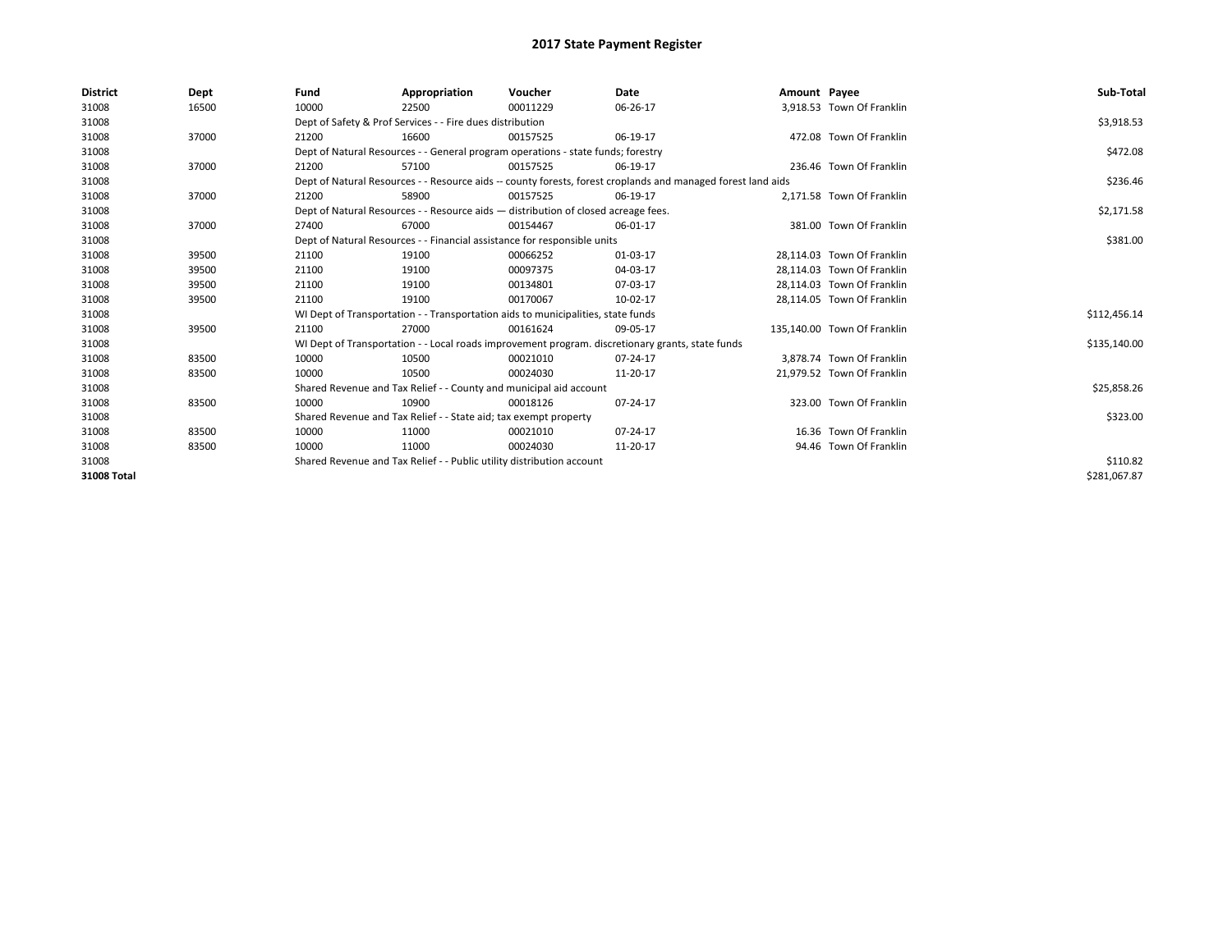| <b>District</b> | Dept  | Fund                                                                  | Appropriation                                                                      | Voucher  | Date                                                                                                         | Amount Payee |                             | Sub-Total    |
|-----------------|-------|-----------------------------------------------------------------------|------------------------------------------------------------------------------------|----------|--------------------------------------------------------------------------------------------------------------|--------------|-----------------------------|--------------|
| 31008           | 16500 | 10000                                                                 | 22500                                                                              | 00011229 | 06-26-17                                                                                                     |              | 3,918.53 Town Of Franklin   |              |
| 31008           |       |                                                                       | Dept of Safety & Prof Services - - Fire dues distribution                          |          |                                                                                                              |              |                             | \$3,918.53   |
| 31008           | 37000 | 21200                                                                 | 16600                                                                              | 00157525 | 06-19-17                                                                                                     |              | 472.08 Town Of Franklin     |              |
| 31008           |       |                                                                       | Dept of Natural Resources - - General program operations - state funds; forestry   |          |                                                                                                              |              |                             | \$472.08     |
| 31008           | 37000 | 21200                                                                 | 57100                                                                              | 00157525 | 06-19-17                                                                                                     |              | 236.46 Town Of Franklin     |              |
| 31008           |       |                                                                       |                                                                                    |          | Dept of Natural Resources - - Resource aids -- county forests, forest croplands and managed forest land aids |              |                             | \$236.46     |
| 31008           | 37000 | 21200                                                                 | 58900                                                                              | 00157525 | 06-19-17                                                                                                     |              | 2,171.58 Town Of Franklin   |              |
| 31008           |       |                                                                       | Dept of Natural Resources - - Resource aids - distribution of closed acreage fees. |          |                                                                                                              |              |                             | \$2,171.58   |
| 31008           | 37000 | 27400                                                                 | 67000                                                                              | 00154467 | 06-01-17                                                                                                     |              | 381.00 Town Of Franklin     |              |
| 31008           |       |                                                                       | Dept of Natural Resources - - Financial assistance for responsible units           |          | \$381.00                                                                                                     |              |                             |              |
| 31008           | 39500 | 21100                                                                 | 19100                                                                              | 00066252 | 01-03-17                                                                                                     |              | 28.114.03 Town Of Franklin  |              |
| 31008           | 39500 | 21100                                                                 | 19100                                                                              | 00097375 | 04-03-17                                                                                                     |              | 28.114.03 Town Of Franklin  |              |
| 31008           | 39500 | 21100                                                                 | 19100                                                                              | 00134801 | 07-03-17                                                                                                     |              | 28,114.03 Town Of Franklin  |              |
| 31008           | 39500 | 21100                                                                 | 19100                                                                              | 00170067 | 10-02-17                                                                                                     |              | 28,114.05 Town Of Franklin  |              |
| 31008           |       |                                                                       | WI Dept of Transportation - - Transportation aids to municipalities, state funds   |          |                                                                                                              |              |                             | \$112,456.14 |
| 31008           | 39500 | 21100                                                                 | 27000                                                                              | 00161624 | 09-05-17                                                                                                     |              | 135.140.00 Town Of Franklin |              |
| 31008           |       |                                                                       |                                                                                    |          | WI Dept of Transportation - - Local roads improvement program. discretionary grants, state funds             |              |                             | \$135,140.00 |
| 31008           | 83500 | 10000                                                                 | 10500                                                                              | 00021010 | 07-24-17                                                                                                     |              | 3.878.74 Town Of Franklin   |              |
| 31008           | 83500 | 10000                                                                 | 10500                                                                              | 00024030 | 11-20-17                                                                                                     |              | 21,979.52 Town Of Franklin  |              |
| 31008           |       |                                                                       | Shared Revenue and Tax Relief - - County and municipal aid account                 |          |                                                                                                              |              |                             | \$25,858.26  |
| 31008           | 83500 | 10000                                                                 | 10900                                                                              | 00018126 | 07-24-17                                                                                                     |              | 323.00 Town Of Franklin     |              |
| 31008           |       |                                                                       | Shared Revenue and Tax Relief - - State aid; tax exempt property                   |          |                                                                                                              |              |                             | \$323.00     |
| 31008           | 83500 | 10000                                                                 | 11000                                                                              | 00021010 | 07-24-17                                                                                                     |              | 16.36 Town Of Franklin      |              |
| 31008           | 83500 | 10000                                                                 | 11000                                                                              | 00024030 | 11-20-17                                                                                                     |              | 94.46 Town Of Franklin      |              |
| 31008           |       | Shared Revenue and Tax Relief - - Public utility distribution account |                                                                                    | \$110.82 |                                                                                                              |              |                             |              |
| 31008 Total     |       |                                                                       |                                                                                    |          |                                                                                                              |              |                             | \$281,067.87 |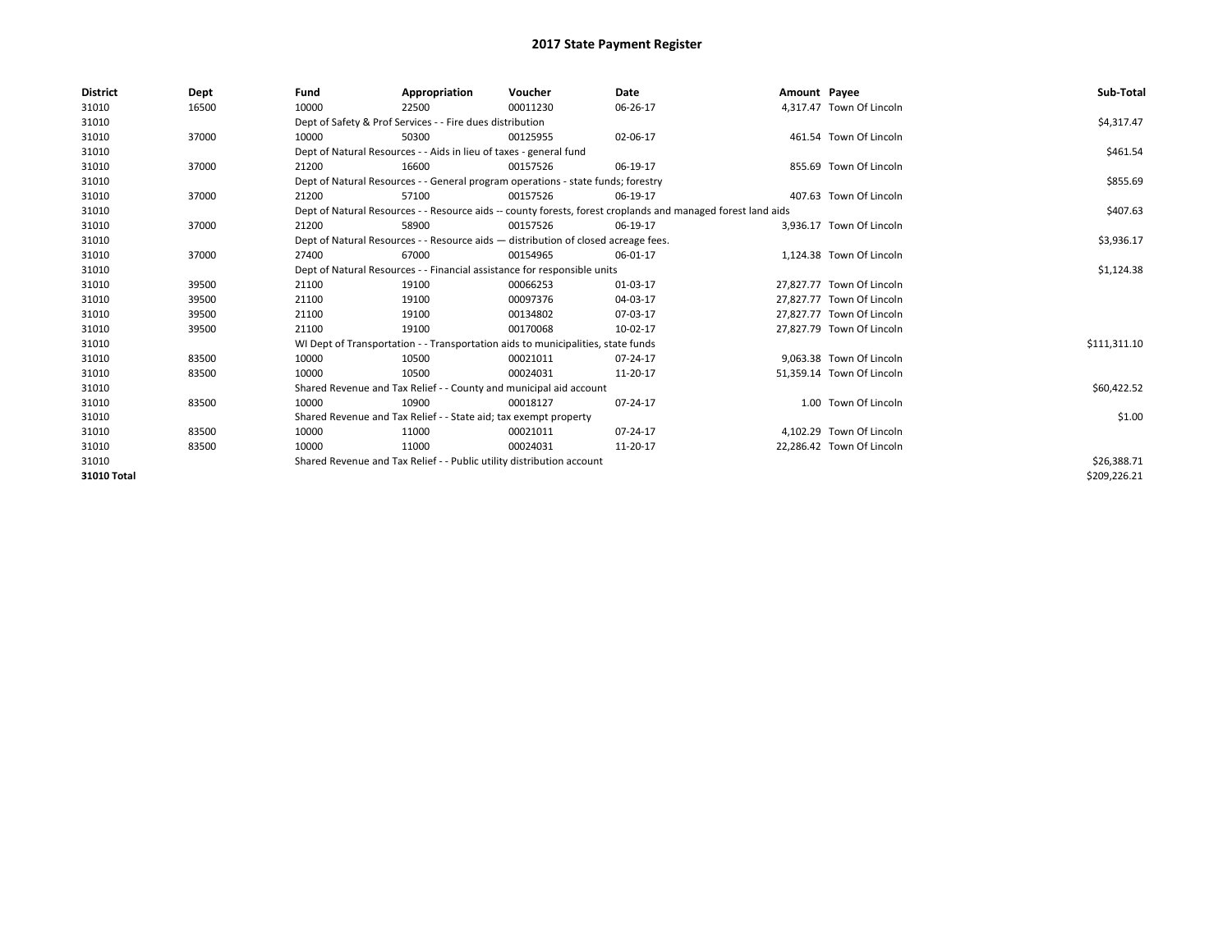| <b>District</b> | Dept  | Fund  | Appropriation                                                                                                | Voucher  | Date       | Amount Payee |                           | Sub-Total    |
|-----------------|-------|-------|--------------------------------------------------------------------------------------------------------------|----------|------------|--------------|---------------------------|--------------|
| 31010           | 16500 | 10000 | 22500                                                                                                        | 00011230 | 06-26-17   |              | 4.317.47 Town Of Lincoln  |              |
| 31010           |       |       | Dept of Safety & Prof Services - - Fire dues distribution                                                    |          |            |              |                           | \$4,317.47   |
| 31010           | 37000 | 10000 | 50300                                                                                                        | 00125955 | 02-06-17   |              | 461.54 Town Of Lincoln    |              |
| 31010           |       |       | Dept of Natural Resources - - Aids in lieu of taxes - general fund                                           |          |            |              |                           | \$461.54     |
| 31010           | 37000 | 21200 | 16600                                                                                                        | 00157526 | 06-19-17   |              | 855.69 Town Of Lincoln    |              |
| 31010           |       |       | Dept of Natural Resources - - General program operations - state funds; forestry                             |          |            |              |                           | \$855.69     |
| 31010           | 37000 | 21200 | 57100                                                                                                        | 00157526 | 06-19-17   |              | 407.63 Town Of Lincoln    |              |
| 31010           |       |       | Dept of Natural Resources - - Resource aids -- county forests, forest croplands and managed forest land aids |          |            |              |                           | \$407.63     |
| 31010           | 37000 | 21200 | 58900                                                                                                        | 00157526 | 06-19-17   |              | 3,936.17 Town Of Lincoln  |              |
| 31010           |       |       | Dept of Natural Resources - - Resource aids - distribution of closed acreage fees.                           |          |            |              |                           | \$3,936.17   |
| 31010           | 37000 | 27400 | 67000                                                                                                        | 00154965 | 06-01-17   |              | 1.124.38 Town Of Lincoln  |              |
| 31010           |       |       | Dept of Natural Resources - - Financial assistance for responsible units                                     |          | \$1,124.38 |              |                           |              |
| 31010           | 39500 | 21100 | 19100                                                                                                        | 00066253 | 01-03-17   |              | 27.827.77 Town Of Lincoln |              |
| 31010           | 39500 | 21100 | 19100                                                                                                        | 00097376 | 04-03-17   |              | 27.827.77 Town Of Lincoln |              |
| 31010           | 39500 | 21100 | 19100                                                                                                        | 00134802 | 07-03-17   |              | 27,827.77 Town Of Lincoln |              |
| 31010           | 39500 | 21100 | 19100                                                                                                        | 00170068 | 10-02-17   |              | 27,827.79 Town Of Lincoln |              |
| 31010           |       |       | WI Dept of Transportation - - Transportation aids to municipalities, state funds                             |          |            |              |                           | \$111,311.10 |
| 31010           | 83500 | 10000 | 10500                                                                                                        | 00021011 | 07-24-17   |              | 9.063.38 Town Of Lincoln  |              |
| 31010           | 83500 | 10000 | 10500                                                                                                        | 00024031 | 11-20-17   |              | 51,359.14 Town Of Lincoln |              |
| 31010           |       |       | Shared Revenue and Tax Relief - - County and municipal aid account                                           |          |            |              |                           | \$60,422.52  |
| 31010           | 83500 | 10000 | 10900                                                                                                        | 00018127 | 07-24-17   |              | 1.00 Town Of Lincoln      |              |
| 31010           |       |       | Shared Revenue and Tax Relief - - State aid; tax exempt property                                             |          |            |              |                           | \$1.00       |
| 31010           | 83500 | 10000 | 11000                                                                                                        | 00021011 | 07-24-17   |              | 4,102.29 Town Of Lincoln  |              |
| 31010           | 83500 | 10000 | 11000                                                                                                        | 00024031 | 11-20-17   |              | 22,286.42 Town Of Lincoln |              |
| 31010           |       |       | Shared Revenue and Tax Relief - - Public utility distribution account                                        |          |            |              |                           | \$26,388.71  |
| 31010 Total     |       |       |                                                                                                              |          |            |              |                           | \$209,226.21 |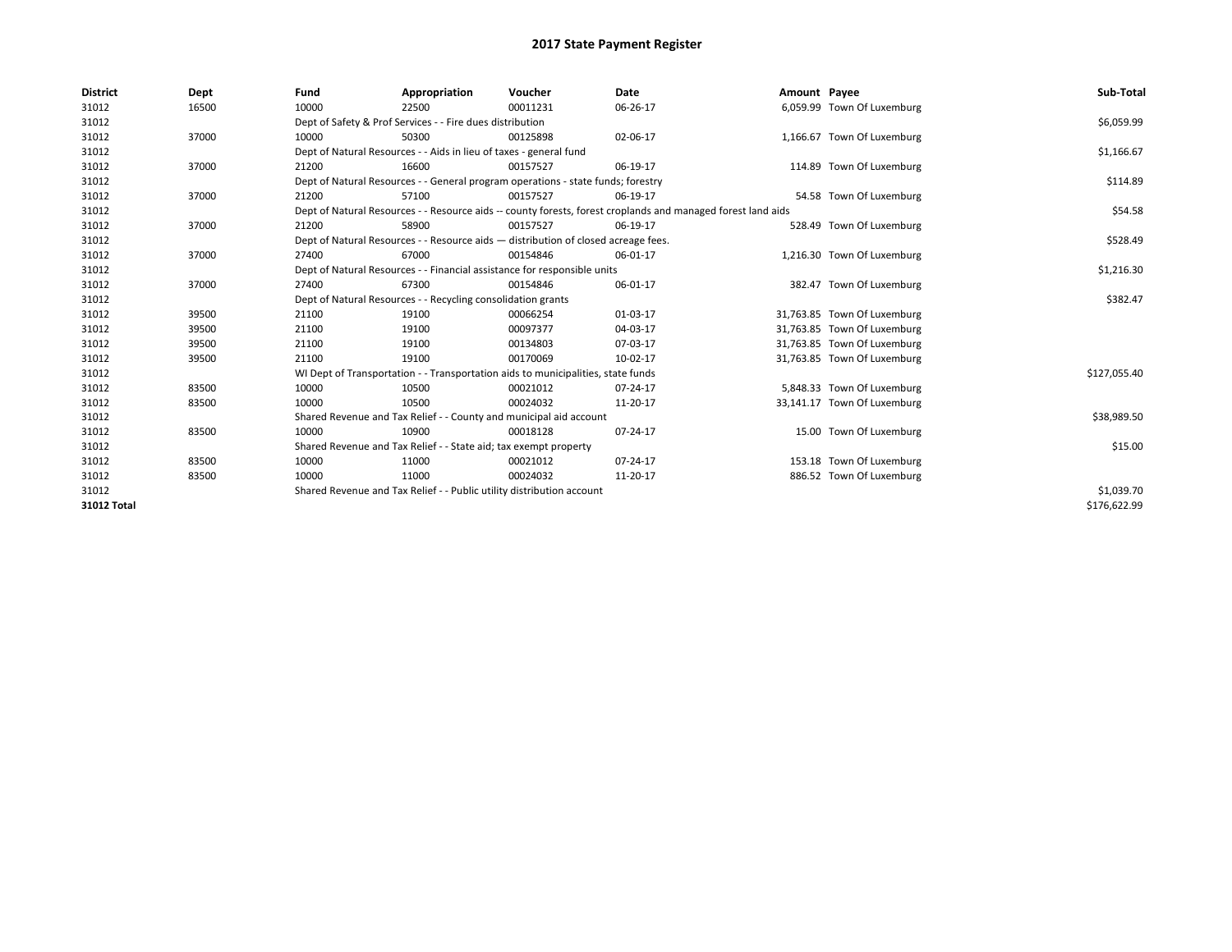| <b>District</b> | Dept  | Fund  | Appropriation                                                                                                | Voucher  | Date     | Amount Payee |                             | Sub-Total    |
|-----------------|-------|-------|--------------------------------------------------------------------------------------------------------------|----------|----------|--------------|-----------------------------|--------------|
| 31012           | 16500 | 10000 | 22500                                                                                                        | 00011231 | 06-26-17 |              | 6,059.99 Town Of Luxemburg  |              |
| 31012           |       |       | Dept of Safety & Prof Services - - Fire dues distribution                                                    |          |          |              |                             | \$6,059.99   |
| 31012           | 37000 | 10000 | 50300                                                                                                        | 00125898 | 02-06-17 |              | 1,166.67 Town Of Luxemburg  |              |
| 31012           |       |       | Dept of Natural Resources - - Aids in lieu of taxes - general fund                                           |          |          |              |                             | \$1,166.67   |
| 31012           | 37000 | 21200 | 16600                                                                                                        | 00157527 | 06-19-17 |              | 114.89 Town Of Luxemburg    |              |
| 31012           |       |       | Dept of Natural Resources - - General program operations - state funds; forestry                             |          |          |              |                             | \$114.89     |
| 31012           | 37000 | 21200 | 57100                                                                                                        | 00157527 | 06-19-17 |              | 54.58 Town Of Luxemburg     |              |
| 31012           |       |       | Dept of Natural Resources - - Resource aids -- county forests, forest croplands and managed forest land aids |          |          |              |                             | \$54.58      |
| 31012           | 37000 | 21200 | 58900                                                                                                        | 00157527 | 06-19-17 |              | 528.49 Town Of Luxemburg    |              |
| 31012           |       |       | Dept of Natural Resources - - Resource aids - distribution of closed acreage fees.                           |          |          |              |                             | \$528.49     |
| 31012           | 37000 | 27400 | 67000                                                                                                        | 00154846 | 06-01-17 |              | 1,216.30 Town Of Luxemburg  |              |
| 31012           |       |       | Dept of Natural Resources - - Financial assistance for responsible units                                     |          |          |              |                             | \$1,216.30   |
| 31012           | 37000 | 27400 | 67300                                                                                                        | 00154846 | 06-01-17 |              | 382.47 Town Of Luxemburg    |              |
| 31012           |       |       | Dept of Natural Resources - - Recycling consolidation grants                                                 |          |          |              |                             | \$382.47     |
| 31012           | 39500 | 21100 | 19100                                                                                                        | 00066254 | 01-03-17 |              | 31,763.85 Town Of Luxemburg |              |
| 31012           | 39500 | 21100 | 19100                                                                                                        | 00097377 | 04-03-17 |              | 31,763.85 Town Of Luxemburg |              |
| 31012           | 39500 | 21100 | 19100                                                                                                        | 00134803 | 07-03-17 |              | 31,763.85 Town Of Luxemburg |              |
| 31012           | 39500 | 21100 | 19100                                                                                                        | 00170069 | 10-02-17 |              | 31,763.85 Town Of Luxemburg |              |
| 31012           |       |       | WI Dept of Transportation - - Transportation aids to municipalities, state funds                             |          |          |              |                             | \$127,055.40 |
| 31012           | 83500 | 10000 | 10500                                                                                                        | 00021012 | 07-24-17 |              | 5,848.33 Town Of Luxemburg  |              |
| 31012           | 83500 | 10000 | 10500                                                                                                        | 00024032 | 11-20-17 |              | 33,141.17 Town Of Luxemburg |              |
| 31012           |       |       | Shared Revenue and Tax Relief - - County and municipal aid account                                           |          |          |              |                             | \$38,989.50  |
| 31012           | 83500 | 10000 | 10900                                                                                                        | 00018128 | 07-24-17 |              | 15.00 Town Of Luxemburg     |              |
| 31012           |       |       | Shared Revenue and Tax Relief - - State aid; tax exempt property                                             |          |          |              |                             | \$15.00      |
| 31012           | 83500 | 10000 | 11000                                                                                                        | 00021012 | 07-24-17 |              | 153.18 Town Of Luxemburg    |              |
| 31012           | 83500 | 10000 | 11000                                                                                                        | 00024032 | 11-20-17 |              | 886.52 Town Of Luxemburg    |              |
| 31012           |       |       | Shared Revenue and Tax Relief - - Public utility distribution account                                        |          |          |              |                             | \$1,039.70   |
| 31012 Total     |       |       |                                                                                                              |          |          |              |                             | \$176.622.99 |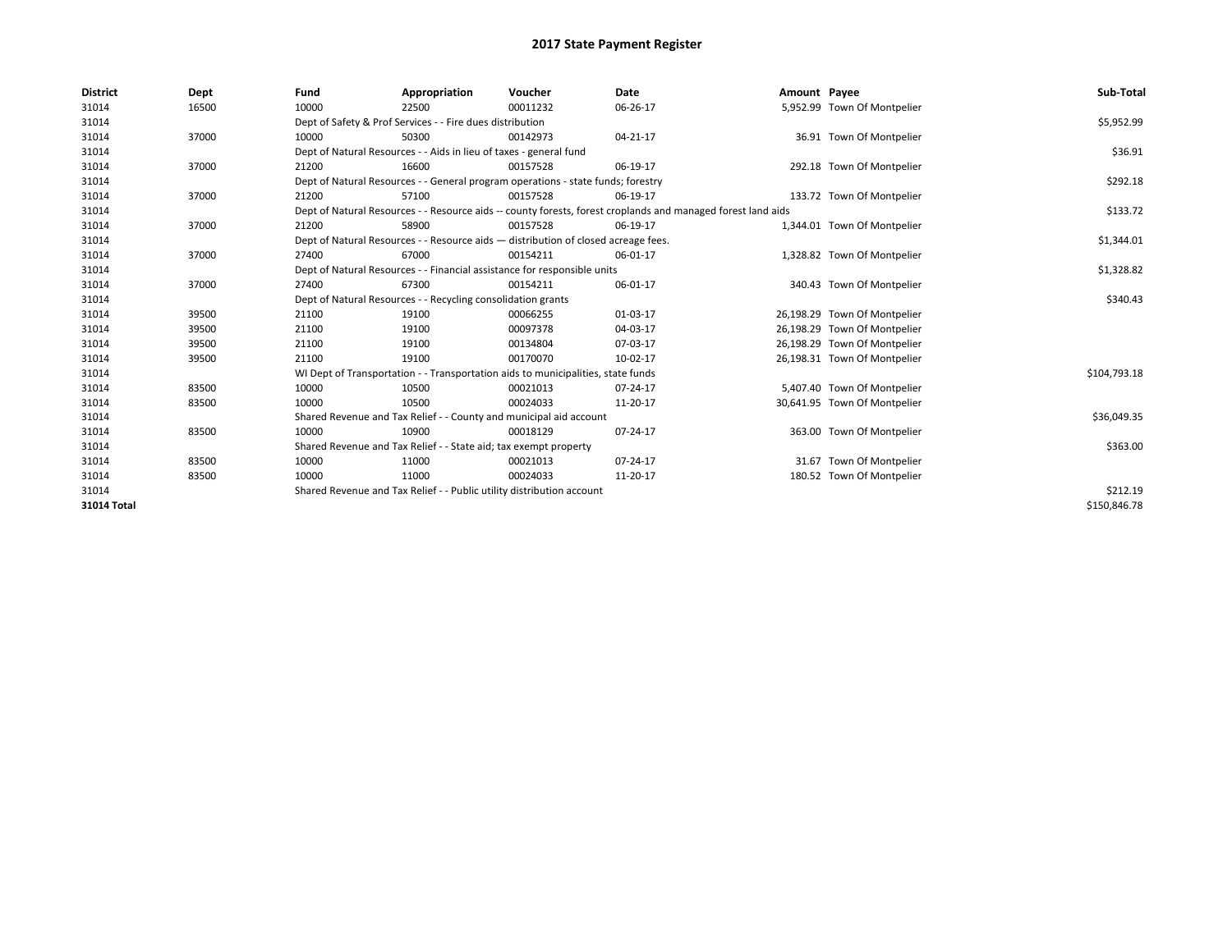| <b>District</b>    | Dept  | Fund  | Appropriation                                                                                                | Voucher  | Date           | Amount Payee |                              | Sub-Total    |  |  |
|--------------------|-------|-------|--------------------------------------------------------------------------------------------------------------|----------|----------------|--------------|------------------------------|--------------|--|--|
| 31014              | 16500 | 10000 | 22500                                                                                                        | 00011232 | 06-26-17       |              | 5,952.99 Town Of Montpelier  |              |  |  |
| 31014              |       |       | Dept of Safety & Prof Services - - Fire dues distribution                                                    |          |                |              |                              | \$5,952.99   |  |  |
| 31014              | 37000 | 10000 | 50300                                                                                                        | 00142973 | $04 - 21 - 17$ |              | 36.91 Town Of Montpelier     |              |  |  |
| 31014              |       |       | Dept of Natural Resources - - Aids in lieu of taxes - general fund                                           |          |                |              |                              | \$36.91      |  |  |
| 31014              | 37000 | 21200 | 16600                                                                                                        | 00157528 | 06-19-17       |              | 292.18 Town Of Montpelier    |              |  |  |
| 31014              |       |       | Dept of Natural Resources - - General program operations - state funds; forestry                             |          |                |              |                              | \$292.18     |  |  |
| 31014              | 37000 | 21200 | 57100                                                                                                        | 00157528 | 06-19-17       |              | 133.72 Town Of Montpelier    |              |  |  |
| 31014              |       |       | Dept of Natural Resources - - Resource aids -- county forests, forest croplands and managed forest land aids |          |                |              |                              | \$133.72     |  |  |
| 31014              | 37000 | 21200 | 58900                                                                                                        | 00157528 | 06-19-17       |              | 1,344.01 Town Of Montpelier  |              |  |  |
| 31014              |       |       | Dept of Natural Resources - - Resource aids - distribution of closed acreage fees.                           |          |                |              |                              | \$1,344.01   |  |  |
| 31014              | 37000 | 27400 | 67000                                                                                                        | 00154211 | 06-01-17       |              | 1,328.82 Town Of Montpelier  |              |  |  |
| 31014              |       |       | Dept of Natural Resources - - Financial assistance for responsible units                                     |          |                |              |                              |              |  |  |
| 31014              | 37000 | 27400 | 67300                                                                                                        | 00154211 | 06-01-17       |              | 340.43 Town Of Montpelier    |              |  |  |
| 31014              |       |       | Dept of Natural Resources - - Recycling consolidation grants                                                 |          |                |              |                              | \$340.43     |  |  |
| 31014              | 39500 | 21100 | 19100                                                                                                        | 00066255 | 01-03-17       |              | 26,198.29 Town Of Montpelier |              |  |  |
| 31014              | 39500 | 21100 | 19100                                                                                                        | 00097378 | 04-03-17       |              | 26,198.29 Town Of Montpelier |              |  |  |
| 31014              | 39500 | 21100 | 19100                                                                                                        | 00134804 | 07-03-17       |              | 26,198.29 Town Of Montpelier |              |  |  |
| 31014              | 39500 | 21100 | 19100                                                                                                        | 00170070 | 10-02-17       |              | 26,198.31 Town Of Montpelier |              |  |  |
| 31014              |       |       | WI Dept of Transportation - - Transportation aids to municipalities, state funds                             |          |                |              |                              | \$104,793.18 |  |  |
| 31014              | 83500 | 10000 | 10500                                                                                                        | 00021013 | 07-24-17       |              | 5,407.40 Town Of Montpelier  |              |  |  |
| 31014              | 83500 | 10000 | 10500                                                                                                        | 00024033 | 11-20-17       |              | 30,641.95 Town Of Montpelier |              |  |  |
| 31014              |       |       | Shared Revenue and Tax Relief - - County and municipal aid account                                           |          |                |              |                              | \$36,049.35  |  |  |
| 31014              | 83500 | 10000 | 10900                                                                                                        | 00018129 | 07-24-17       |              | 363.00 Town Of Montpelier    |              |  |  |
| 31014              |       |       | Shared Revenue and Tax Relief - - State aid; tax exempt property                                             |          |                |              |                              | \$363.00     |  |  |
| 31014              | 83500 | 10000 | 11000                                                                                                        | 00021013 | 07-24-17       |              | 31.67 Town Of Montpelier     |              |  |  |
| 31014              | 83500 | 10000 | 11000                                                                                                        | 00024033 | 11-20-17       |              | 180.52 Town Of Montpelier    |              |  |  |
| 31014              |       |       | Shared Revenue and Tax Relief - - Public utility distribution account                                        |          |                |              |                              | \$212.19     |  |  |
| <b>31014 Total</b> |       |       |                                                                                                              |          |                |              |                              | \$150.846.78 |  |  |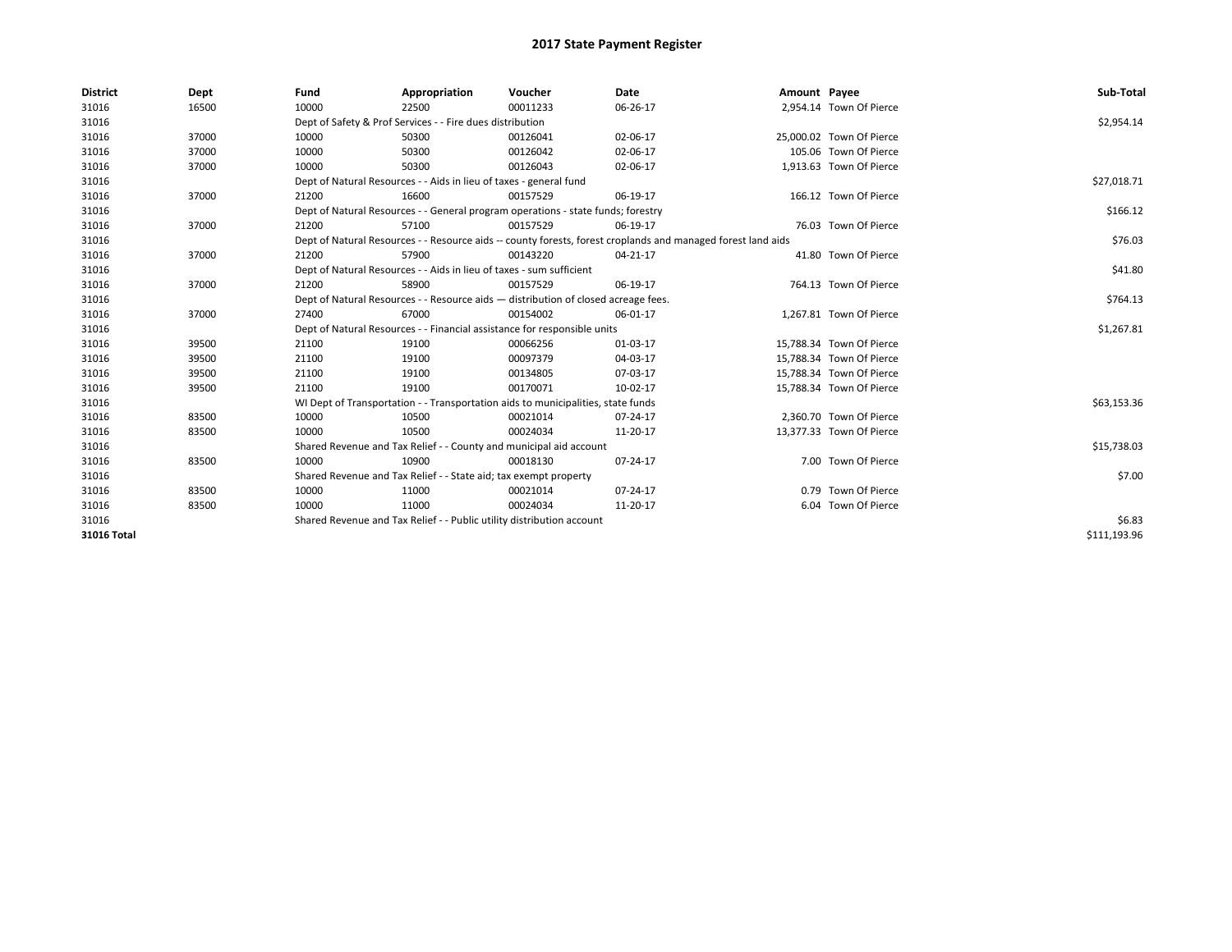| <b>District</b> | Dept  | Fund                                                                               | Appropriation                                                        | Voucher                                                                          | Date                                                                                                         | Amount Payee |                          | Sub-Total    |
|-----------------|-------|------------------------------------------------------------------------------------|----------------------------------------------------------------------|----------------------------------------------------------------------------------|--------------------------------------------------------------------------------------------------------------|--------------|--------------------------|--------------|
| 31016           | 16500 | 10000                                                                              | 22500                                                                | 00011233                                                                         | 06-26-17                                                                                                     |              | 2,954.14 Town Of Pierce  |              |
| 31016           |       |                                                                                    | Dept of Safety & Prof Services - - Fire dues distribution            |                                                                                  |                                                                                                              |              |                          | \$2,954.14   |
| 31016           | 37000 | 10000                                                                              | 50300                                                                | 00126041                                                                         | 02-06-17                                                                                                     |              | 25,000.02 Town Of Pierce |              |
| 31016           | 37000 | 10000                                                                              | 50300                                                                | 00126042                                                                         | 02-06-17                                                                                                     |              | 105.06 Town Of Pierce    |              |
| 31016           | 37000 | 10000                                                                              | 50300                                                                | 00126043                                                                         | 02-06-17                                                                                                     |              | 1,913.63 Town Of Pierce  |              |
| 31016           |       |                                                                                    | Dept of Natural Resources - - Aids in lieu of taxes - general fund   |                                                                                  |                                                                                                              |              |                          | \$27,018.71  |
| 31016           | 37000 | 21200                                                                              | 16600                                                                | 00157529                                                                         | 06-19-17                                                                                                     |              | 166.12 Town Of Pierce    |              |
| 31016           |       |                                                                                    |                                                                      | Dept of Natural Resources - - General program operations - state funds; forestry |                                                                                                              |              |                          | \$166.12     |
| 31016           | 37000 | 21200                                                                              | 57100                                                                | 00157529                                                                         | 06-19-17                                                                                                     |              | 76.03 Town Of Pierce     |              |
| 31016           |       |                                                                                    |                                                                      |                                                                                  | Dept of Natural Resources - - Resource aids -- county forests, forest croplands and managed forest land aids |              |                          | \$76.03      |
| 31016           | 37000 | 21200                                                                              | 57900                                                                | 00143220                                                                         | 04-21-17                                                                                                     |              | 41.80 Town Of Pierce     |              |
| 31016           |       |                                                                                    | Dept of Natural Resources - - Aids in lieu of taxes - sum sufficient |                                                                                  |                                                                                                              |              |                          | \$41.80      |
| 31016           | 37000 | 21200                                                                              | 58900                                                                | 00157529                                                                         | 06-19-17                                                                                                     |              | 764.13 Town Of Pierce    |              |
| 31016           |       | Dept of Natural Resources - - Resource aids - distribution of closed acreage fees. |                                                                      | \$764.13                                                                         |                                                                                                              |              |                          |              |
| 31016           | 37000 | 27400                                                                              | 67000                                                                | 00154002                                                                         | 06-01-17                                                                                                     |              | 1,267.81 Town Of Pierce  |              |
| 31016           |       |                                                                                    |                                                                      | Dept of Natural Resources - - Financial assistance for responsible units         |                                                                                                              |              |                          | \$1,267.81   |
| 31016           | 39500 | 21100                                                                              | 19100                                                                | 00066256                                                                         | 01-03-17                                                                                                     |              | 15,788.34 Town Of Pierce |              |
| 31016           | 39500 | 21100                                                                              | 19100                                                                | 00097379                                                                         | 04-03-17                                                                                                     |              | 15,788.34 Town Of Pierce |              |
| 31016           | 39500 | 21100                                                                              | 19100                                                                | 00134805                                                                         | 07-03-17                                                                                                     |              | 15,788.34 Town Of Pierce |              |
| 31016           | 39500 | 21100                                                                              | 19100                                                                | 00170071                                                                         | 10-02-17                                                                                                     |              | 15,788.34 Town Of Pierce |              |
| 31016           |       |                                                                                    |                                                                      | WI Dept of Transportation - - Transportation aids to municipalities, state funds |                                                                                                              |              |                          | \$63,153.36  |
| 31016           | 83500 | 10000                                                                              | 10500                                                                | 00021014                                                                         | 07-24-17                                                                                                     |              | 2.360.70 Town Of Pierce  |              |
| 31016           | 83500 | 10000                                                                              | 10500                                                                | 00024034                                                                         | 11-20-17                                                                                                     |              | 13,377.33 Town Of Pierce |              |
| 31016           |       |                                                                                    | Shared Revenue and Tax Relief - - County and municipal aid account   |                                                                                  |                                                                                                              |              |                          | \$15,738.03  |
| 31016           | 83500 | 10000                                                                              | 10900                                                                | 00018130                                                                         | 07-24-17                                                                                                     |              | 7.00 Town Of Pierce      |              |
| 31016           |       |                                                                                    | Shared Revenue and Tax Relief - - State aid; tax exempt property     |                                                                                  |                                                                                                              |              |                          | \$7.00       |
| 31016           | 83500 | 10000                                                                              | 11000                                                                | 00021014                                                                         | 07-24-17                                                                                                     |              | 0.79 Town Of Pierce      |              |
| 31016           | 83500 | 10000                                                                              | 11000                                                                | 00024034                                                                         | 11-20-17                                                                                                     |              | 6.04 Town Of Pierce      |              |
| 31016           |       | Shared Revenue and Tax Relief - - Public utility distribution account              |                                                                      | \$6.83                                                                           |                                                                                                              |              |                          |              |
| 31016 Total     |       |                                                                                    |                                                                      |                                                                                  |                                                                                                              |              |                          | \$111,193.96 |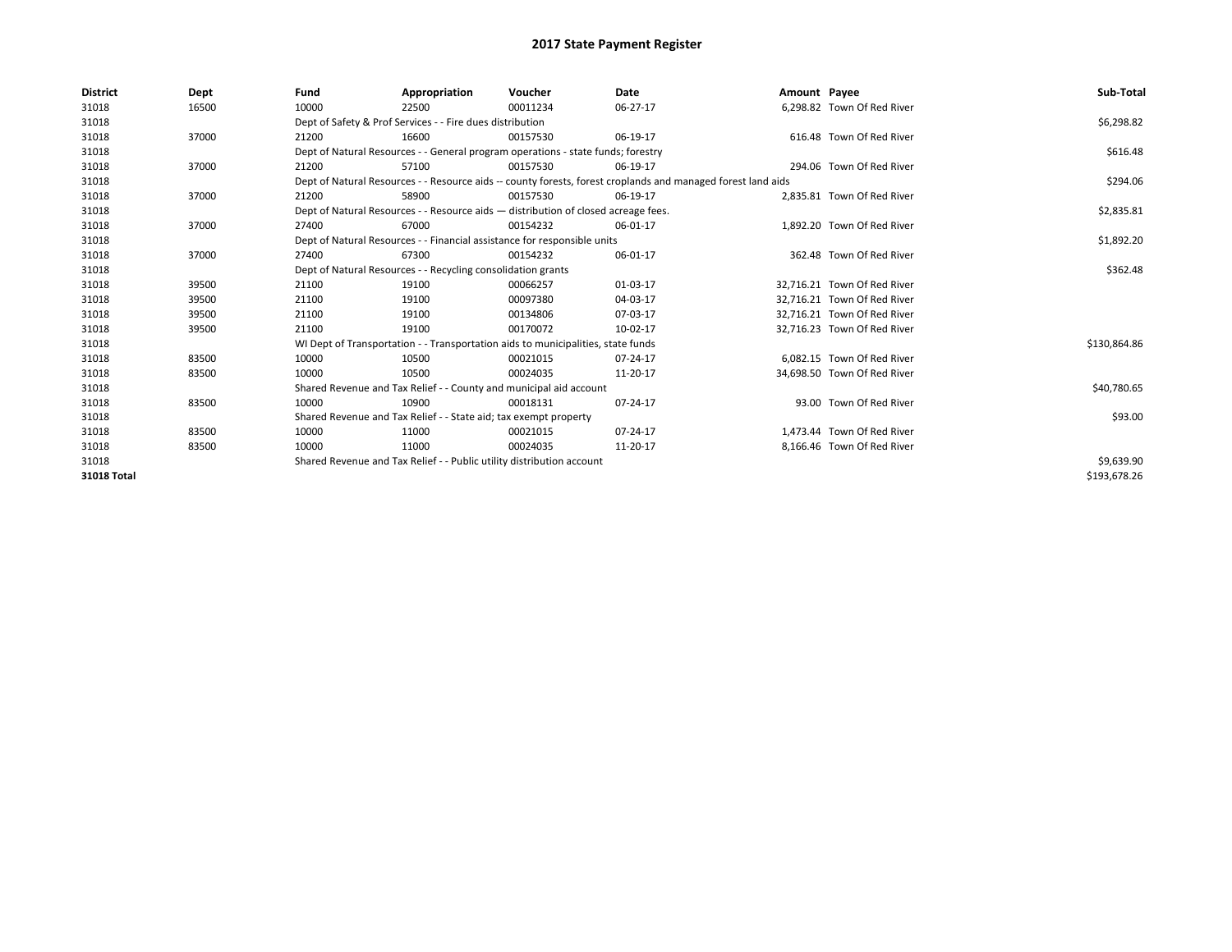| <b>District</b> | Dept  | Fund  | Appropriation                                                                                                | Voucher  | <b>Date</b> | Amount Payee |                             | Sub-Total    |  |  |  |
|-----------------|-------|-------|--------------------------------------------------------------------------------------------------------------|----------|-------------|--------------|-----------------------------|--------------|--|--|--|
| 31018           | 16500 | 10000 | 22500                                                                                                        | 00011234 | 06-27-17    |              | 6,298.82 Town Of Red River  |              |  |  |  |
| 31018           |       |       | Dept of Safety & Prof Services - - Fire dues distribution                                                    |          |             |              |                             |              |  |  |  |
| 31018           | 37000 | 21200 | 16600                                                                                                        | 00157530 | 06-19-17    |              | 616.48 Town Of Red River    |              |  |  |  |
| 31018           |       |       | Dept of Natural Resources - - General program operations - state funds; forestry                             |          |             |              |                             | \$616.48     |  |  |  |
| 31018           | 37000 | 21200 | 57100                                                                                                        | 00157530 | 06-19-17    |              | 294.06 Town Of Red River    |              |  |  |  |
| 31018           |       |       | Dept of Natural Resources - - Resource aids -- county forests, forest croplands and managed forest land aids |          |             |              |                             | \$294.06     |  |  |  |
| 31018           | 37000 | 21200 | 58900                                                                                                        | 00157530 | 06-19-17    |              | 2,835.81 Town Of Red River  |              |  |  |  |
| 31018           |       |       | Dept of Natural Resources - - Resource aids - distribution of closed acreage fees.                           |          |             |              |                             | \$2,835.81   |  |  |  |
| 31018           | 37000 | 27400 | 67000                                                                                                        | 00154232 | 06-01-17    |              | 1,892.20 Town Of Red River  |              |  |  |  |
| 31018           |       |       | Dept of Natural Resources - - Financial assistance for responsible units                                     |          |             |              |                             | \$1,892.20   |  |  |  |
| 31018           | 37000 | 27400 | 67300                                                                                                        | 00154232 | 06-01-17    |              | 362.48 Town Of Red River    |              |  |  |  |
| 31018           |       |       | Dept of Natural Resources - - Recycling consolidation grants                                                 |          |             |              |                             | \$362.48     |  |  |  |
| 31018           | 39500 | 21100 | 19100                                                                                                        | 00066257 | 01-03-17    |              | 32,716.21 Town Of Red River |              |  |  |  |
| 31018           | 39500 | 21100 | 19100                                                                                                        | 00097380 | 04-03-17    |              | 32,716.21 Town Of Red River |              |  |  |  |
| 31018           | 39500 | 21100 | 19100                                                                                                        | 00134806 | 07-03-17    |              | 32,716.21 Town Of Red River |              |  |  |  |
| 31018           | 39500 | 21100 | 19100                                                                                                        | 00170072 | 10-02-17    |              | 32.716.23 Town Of Red River |              |  |  |  |
| 31018           |       |       | WI Dept of Transportation - - Transportation aids to municipalities, state funds                             |          |             |              |                             | \$130,864.86 |  |  |  |
| 31018           | 83500 | 10000 | 10500                                                                                                        | 00021015 | 07-24-17    |              | 6.082.15 Town Of Red River  |              |  |  |  |
| 31018           | 83500 | 10000 | 10500                                                                                                        | 00024035 | 11-20-17    |              | 34,698.50 Town Of Red River |              |  |  |  |
| 31018           |       |       | Shared Revenue and Tax Relief - - County and municipal aid account                                           |          |             |              |                             | \$40,780.65  |  |  |  |
| 31018           | 83500 | 10000 | 10900                                                                                                        | 00018131 | 07-24-17    |              | 93.00 Town Of Red River     |              |  |  |  |
| 31018           |       |       | Shared Revenue and Tax Relief - - State aid; tax exempt property                                             |          |             |              |                             | \$93.00      |  |  |  |
| 31018           | 83500 | 10000 | 11000                                                                                                        | 00021015 | 07-24-17    |              | 1.473.44 Town Of Red River  |              |  |  |  |
| 31018           | 83500 | 10000 | 11000                                                                                                        | 00024035 | 11-20-17    |              | 8.166.46 Town Of Red River  |              |  |  |  |
| 31018           |       |       | Shared Revenue and Tax Relief - - Public utility distribution account                                        |          |             |              |                             | \$9,639.90   |  |  |  |
| 31018 Total     |       |       |                                                                                                              |          |             |              |                             | \$193,678.26 |  |  |  |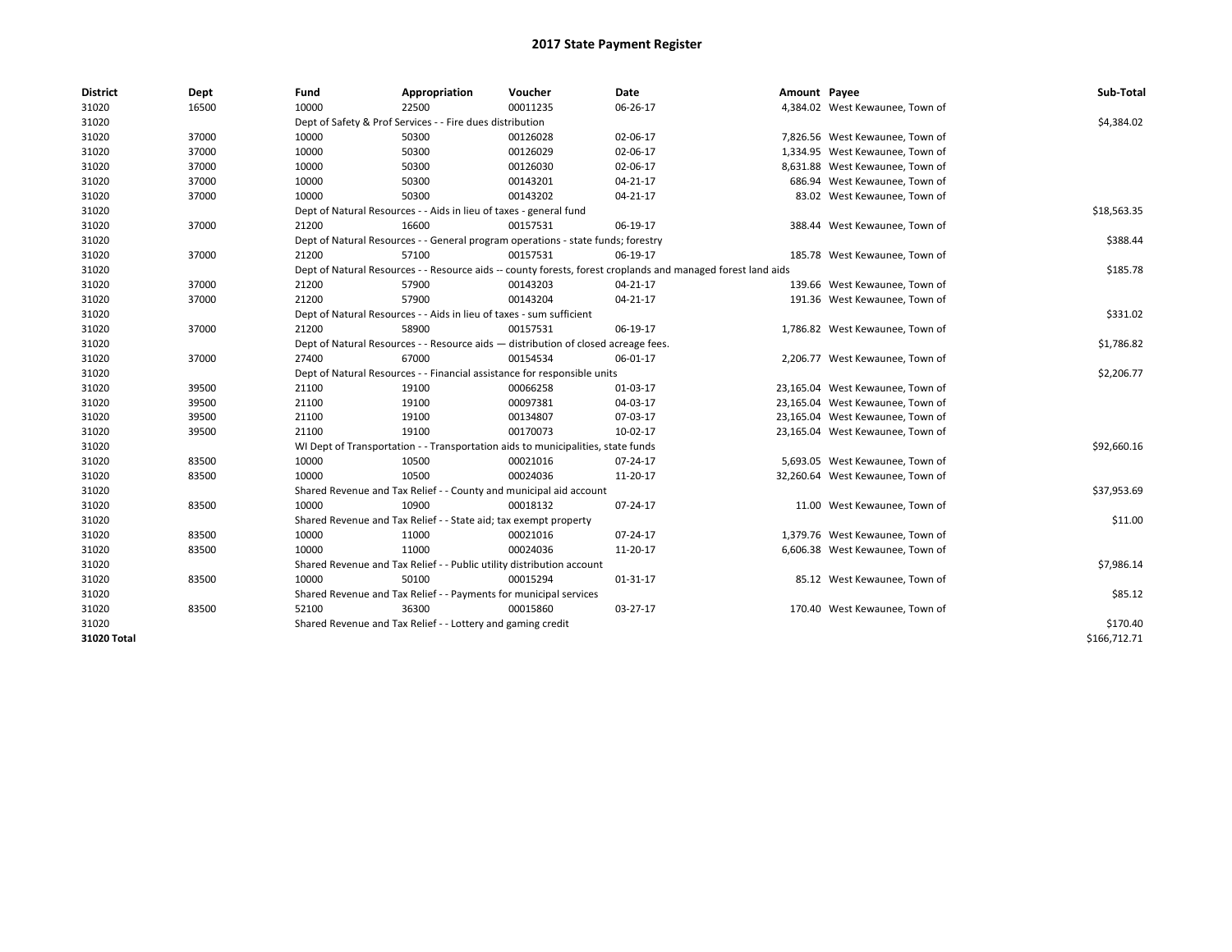| <b>District</b> | Dept  | Fund  | Appropriation                                                                      | Voucher  | Date                                                                                                         | Amount Payee |                                  | Sub-Total    |  |  |  |
|-----------------|-------|-------|------------------------------------------------------------------------------------|----------|--------------------------------------------------------------------------------------------------------------|--------------|----------------------------------|--------------|--|--|--|
| 31020           | 16500 | 10000 | 22500                                                                              | 00011235 | 06-26-17                                                                                                     |              | 4,384.02 West Kewaunee, Town of  |              |  |  |  |
| 31020           |       |       | Dept of Safety & Prof Services - - Fire dues distribution                          |          |                                                                                                              |              |                                  |              |  |  |  |
| 31020           | 37000 | 10000 | 50300                                                                              | 00126028 | 02-06-17                                                                                                     |              | 7,826.56 West Kewaunee, Town of  |              |  |  |  |
| 31020           | 37000 | 10000 | 50300                                                                              | 00126029 | 02-06-17                                                                                                     |              | 1,334.95 West Kewaunee, Town of  |              |  |  |  |
| 31020           | 37000 | 10000 | 50300                                                                              | 00126030 | 02-06-17                                                                                                     |              | 8,631.88 West Kewaunee, Town of  |              |  |  |  |
| 31020           | 37000 | 10000 | 50300                                                                              | 00143201 | $04 - 21 - 17$                                                                                               |              | 686.94 West Kewaunee, Town of    |              |  |  |  |
| 31020           | 37000 | 10000 | 50300                                                                              | 00143202 | 04-21-17                                                                                                     |              | 83.02 West Kewaunee, Town of     |              |  |  |  |
| 31020           |       |       | Dept of Natural Resources - - Aids in lieu of taxes - general fund                 |          |                                                                                                              |              |                                  | \$18,563.35  |  |  |  |
| 31020           | 37000 | 21200 | 16600                                                                              | 00157531 | 06-19-17                                                                                                     |              | 388.44 West Kewaunee, Town of    |              |  |  |  |
| 31020           |       |       | Dept of Natural Resources - - General program operations - state funds; forestry   |          |                                                                                                              |              |                                  | \$388.44     |  |  |  |
| 31020           | 37000 | 21200 | 57100                                                                              | 00157531 | 06-19-17                                                                                                     |              | 185.78 West Kewaunee, Town of    |              |  |  |  |
| 31020           |       |       |                                                                                    |          | Dept of Natural Resources - - Resource aids -- county forests, forest croplands and managed forest land aids |              |                                  | \$185.78     |  |  |  |
| 31020           | 37000 | 21200 | 57900                                                                              | 00143203 | 04-21-17                                                                                                     |              | 139.66 West Kewaunee, Town of    |              |  |  |  |
| 31020           | 37000 | 21200 | 57900                                                                              | 00143204 | 04-21-17                                                                                                     |              | 191.36 West Kewaunee, Town of    |              |  |  |  |
| 31020           |       |       | Dept of Natural Resources - - Aids in lieu of taxes - sum sufficient               |          |                                                                                                              |              |                                  | \$331.02     |  |  |  |
| 31020           | 37000 | 21200 | 58900                                                                              | 00157531 | 06-19-17                                                                                                     |              | 1,786.82 West Kewaunee, Town of  |              |  |  |  |
| 31020           |       |       | Dept of Natural Resources - - Resource aids - distribution of closed acreage fees. |          |                                                                                                              |              |                                  | \$1,786.82   |  |  |  |
| 31020           | 37000 | 27400 | 67000                                                                              | 00154534 | 06-01-17                                                                                                     |              | 2,206.77 West Kewaunee, Town of  |              |  |  |  |
| 31020           |       |       | Dept of Natural Resources - - Financial assistance for responsible units           |          |                                                                                                              |              |                                  | \$2,206.77   |  |  |  |
| 31020           | 39500 | 21100 | 19100                                                                              | 00066258 | 01-03-17                                                                                                     |              | 23,165.04 West Kewaunee, Town of |              |  |  |  |
| 31020           | 39500 | 21100 | 19100                                                                              | 00097381 | 04-03-17                                                                                                     |              | 23,165.04 West Kewaunee, Town of |              |  |  |  |
| 31020           | 39500 | 21100 | 19100                                                                              | 00134807 | 07-03-17                                                                                                     |              | 23,165.04 West Kewaunee, Town of |              |  |  |  |
| 31020           | 39500 | 21100 | 19100                                                                              | 00170073 | 10-02-17                                                                                                     |              | 23,165.04 West Kewaunee, Town of |              |  |  |  |
| 31020           |       |       | WI Dept of Transportation - - Transportation aids to municipalities, state funds   |          |                                                                                                              |              |                                  | \$92,660.16  |  |  |  |
| 31020           | 83500 | 10000 | 10500                                                                              | 00021016 | 07-24-17                                                                                                     |              | 5,693.05 West Kewaunee, Town of  |              |  |  |  |
| 31020           | 83500 | 10000 | 10500                                                                              | 00024036 | 11-20-17                                                                                                     |              | 32,260.64 West Kewaunee, Town of |              |  |  |  |
| 31020           |       |       | Shared Revenue and Tax Relief - - County and municipal aid account                 |          |                                                                                                              |              |                                  | \$37,953.69  |  |  |  |
| 31020           | 83500 | 10000 | 10900                                                                              | 00018132 | 07-24-17                                                                                                     |              | 11.00 West Kewaunee, Town of     |              |  |  |  |
| 31020           |       |       | Shared Revenue and Tax Relief - - State aid; tax exempt property                   |          |                                                                                                              |              |                                  | \$11.00      |  |  |  |
| 31020           | 83500 | 10000 | 11000                                                                              | 00021016 | 07-24-17                                                                                                     |              | 1,379.76 West Kewaunee, Town of  |              |  |  |  |
| 31020           | 83500 | 10000 | 11000                                                                              | 00024036 | 11-20-17                                                                                                     |              | 6,606.38 West Kewaunee, Town of  |              |  |  |  |
| 31020           |       |       | Shared Revenue and Tax Relief - - Public utility distribution account              |          |                                                                                                              |              |                                  | \$7,986.14   |  |  |  |
| 31020           | 83500 | 10000 | 50100                                                                              | 00015294 | 01-31-17                                                                                                     |              | 85.12 West Kewaunee, Town of     |              |  |  |  |
| 31020           |       |       | Shared Revenue and Tax Relief - - Payments for municipal services                  |          |                                                                                                              |              |                                  | \$85.12      |  |  |  |
| 31020           | 83500 | 52100 | 36300                                                                              | 00015860 | 03-27-17                                                                                                     |              | 170.40 West Kewaunee, Town of    |              |  |  |  |
| 31020           |       |       | Shared Revenue and Tax Relief - - Lottery and gaming credit                        |          |                                                                                                              |              |                                  | \$170.40     |  |  |  |
| 31020 Total     |       |       |                                                                                    |          |                                                                                                              |              |                                  | \$166,712.71 |  |  |  |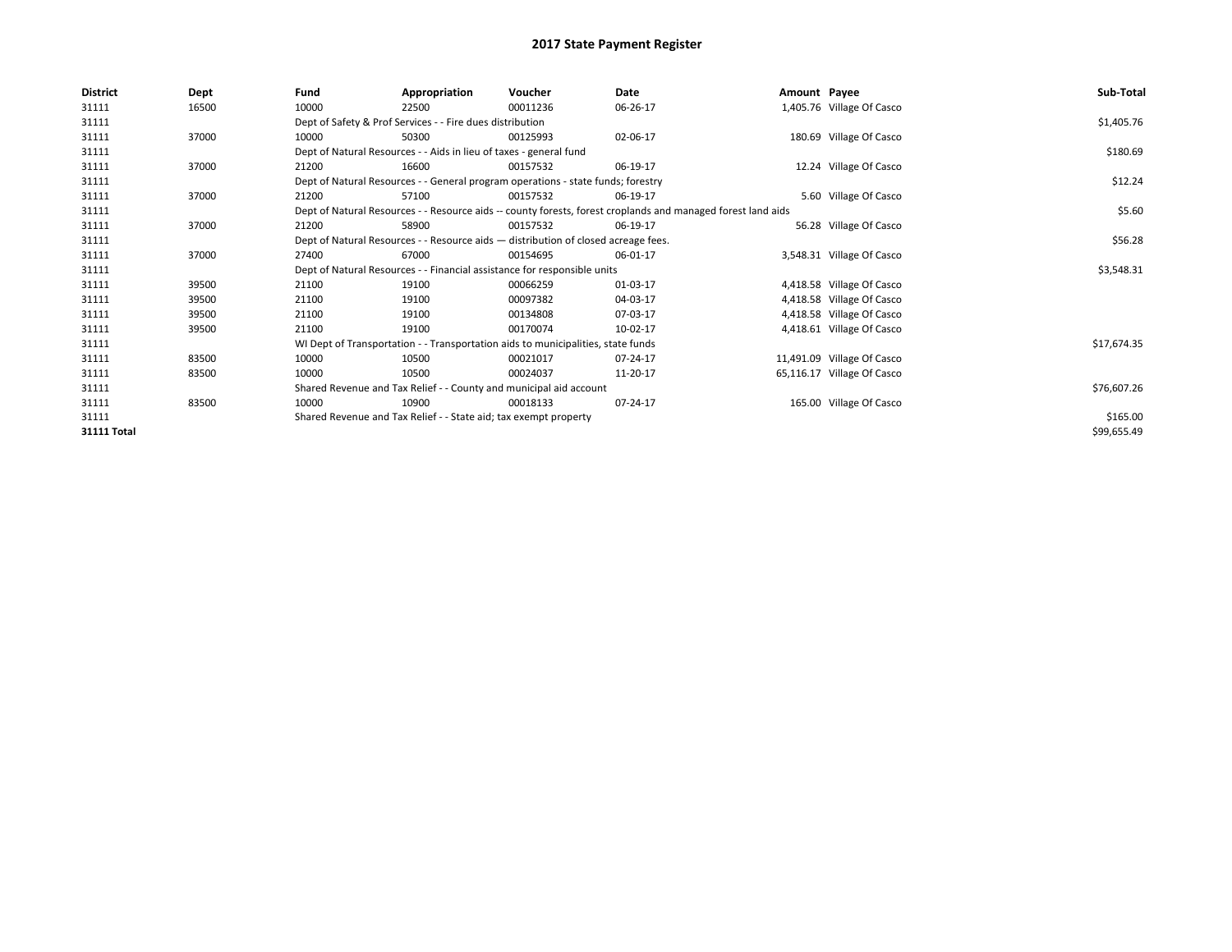| District           | <b>Dept</b> | Fund                                                               | Appropriation                                                                      | Voucher     | Date                                                                                                         | Amount Payee |                            | Sub-Total   |
|--------------------|-------------|--------------------------------------------------------------------|------------------------------------------------------------------------------------|-------------|--------------------------------------------------------------------------------------------------------------|--------------|----------------------------|-------------|
| 31111              | 16500       | 10000                                                              | 22500                                                                              | 00011236    | 06-26-17                                                                                                     |              | 1,405.76 Village Of Casco  |             |
| 31111              |             | Dept of Safety & Prof Services - - Fire dues distribution          |                                                                                    | \$1,405.76  |                                                                                                              |              |                            |             |
| 31111              | 37000       | 10000                                                              | 50300                                                                              | 00125993    | 02-06-17                                                                                                     |              | 180.69 Village Of Casco    |             |
| 31111              |             |                                                                    | Dept of Natural Resources - - Aids in lieu of taxes - general fund                 |             |                                                                                                              |              |                            | \$180.69    |
| 31111              | 37000       | 21200                                                              | 16600                                                                              | 00157532    | 06-19-17                                                                                                     |              | 12.24 Village Of Casco     |             |
| 31111              |             |                                                                    | Dept of Natural Resources - - General program operations - state funds; forestry   |             |                                                                                                              |              |                            | \$12.24     |
| 31111              | 37000       | 21200                                                              | 57100                                                                              | 00157532    | 06-19-17                                                                                                     |              | 5.60 Village Of Casco      |             |
| 31111              |             |                                                                    |                                                                                    |             | Dept of Natural Resources - - Resource aids -- county forests, forest croplands and managed forest land aids |              |                            | \$5.60      |
| 31111              | 37000       | 21200                                                              | 58900                                                                              | 00157532    | 06-19-17                                                                                                     |              | 56.28 Village Of Casco     |             |
| 31111              |             |                                                                    | Dept of Natural Resources - - Resource aids - distribution of closed acreage fees. |             |                                                                                                              |              |                            | \$56.28     |
| 31111              | 37000       | 27400                                                              | 67000                                                                              | 00154695    | 06-01-17                                                                                                     |              | 3,548.31 Village Of Casco  |             |
| 31111              |             |                                                                    | Dept of Natural Resources - - Financial assistance for responsible units           |             |                                                                                                              |              |                            | \$3,548.31  |
| 31111              | 39500       | 21100                                                              | 19100                                                                              | 00066259    | 01-03-17                                                                                                     |              | 4,418.58 Village Of Casco  |             |
| 31111              | 39500       | 21100                                                              | 19100                                                                              | 00097382    | 04-03-17                                                                                                     |              | 4,418.58 Village Of Casco  |             |
| 31111              | 39500       | 21100                                                              | 19100                                                                              | 00134808    | 07-03-17                                                                                                     |              | 4,418.58 Village Of Casco  |             |
| 31111              | 39500       | 21100                                                              | 19100                                                                              | 00170074    | 10-02-17                                                                                                     |              | 4,418.61 Village Of Casco  |             |
| 31111              |             |                                                                    | WI Dept of Transportation - - Transportation aids to municipalities, state funds   |             |                                                                                                              |              |                            | \$17,674.35 |
| 31111              | 83500       | 10000                                                              | 10500                                                                              | 00021017    | 07-24-17                                                                                                     |              | 11,491.09 Village Of Casco |             |
| 31111              | 83500       | 10000                                                              | 10500                                                                              | 00024037    | 11-20-17                                                                                                     |              | 65,116.17 Village Of Casco |             |
| 31111              |             | Shared Revenue and Tax Relief - - County and municipal aid account |                                                                                    | \$76,607.26 |                                                                                                              |              |                            |             |
| 31111              | 83500       | 10000                                                              | 10900                                                                              | 00018133    | 07-24-17                                                                                                     |              | 165.00 Village Of Casco    |             |
| 31111              |             |                                                                    | Shared Revenue and Tax Relief - - State aid; tax exempt property                   |             |                                                                                                              |              |                            | \$165.00    |
| <b>31111 Total</b> |             |                                                                    |                                                                                    |             |                                                                                                              |              |                            | \$99,655.49 |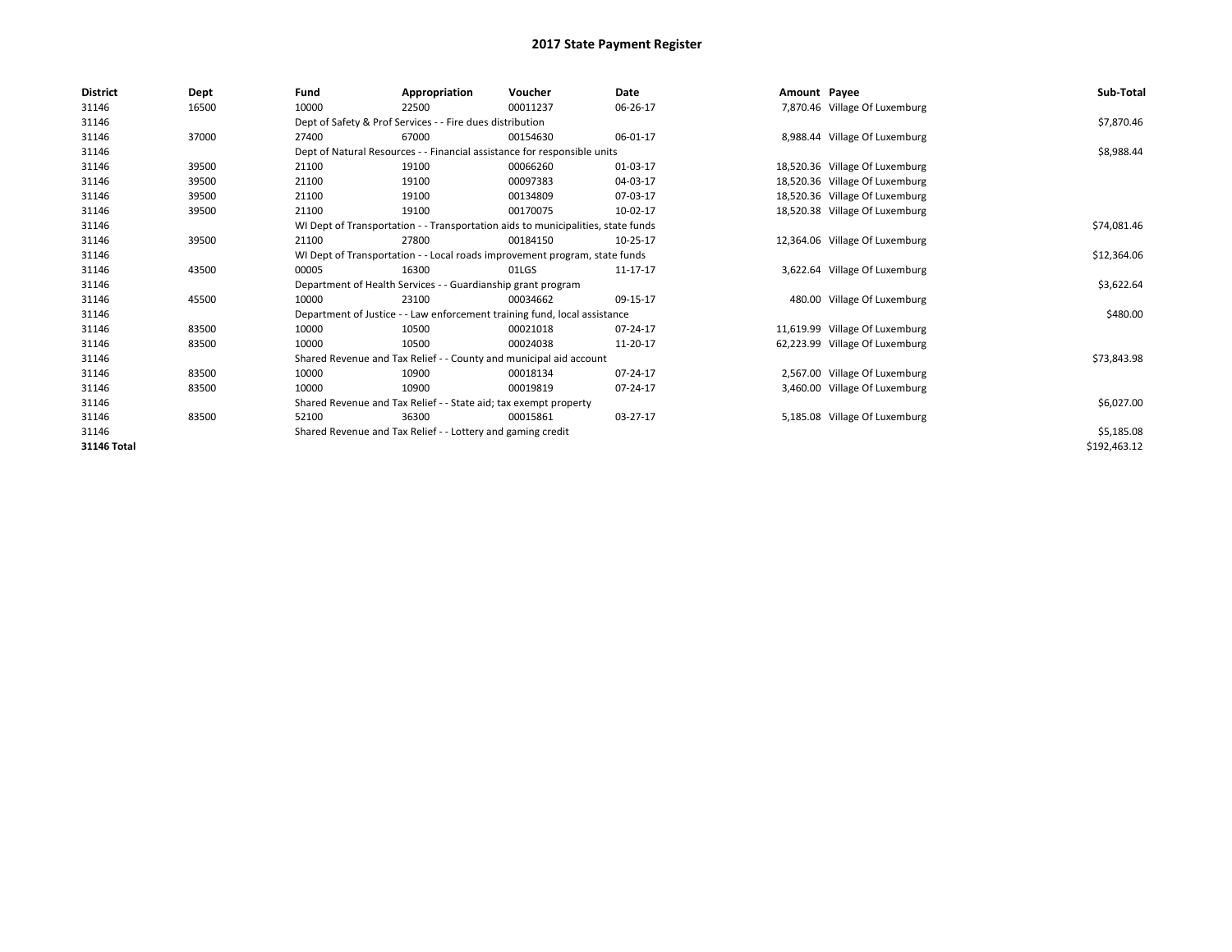| <b>District</b>    | Dept  | Fund                                                             | Appropriation                                                                    | Voucher    | Date     | Amount Payee |                                | Sub-Total    |
|--------------------|-------|------------------------------------------------------------------|----------------------------------------------------------------------------------|------------|----------|--------------|--------------------------------|--------------|
| 31146              | 16500 | 10000                                                            | 22500                                                                            | 00011237   | 06-26-17 |              | 7,870.46 Village Of Luxemburg  |              |
| 31146              |       | Dept of Safety & Prof Services - - Fire dues distribution        |                                                                                  | \$7,870.46 |          |              |                                |              |
| 31146              | 37000 | 27400                                                            | 67000                                                                            | 00154630   | 06-01-17 |              | 8,988.44 Village Of Luxemburg  |              |
| 31146              |       |                                                                  | Dept of Natural Resources - - Financial assistance for responsible units         |            |          |              |                                | \$8,988.44   |
| 31146              | 39500 | 21100                                                            | 19100                                                                            | 00066260   | 01-03-17 |              | 18,520.36 Village Of Luxemburg |              |
| 31146              | 39500 | 21100                                                            | 19100                                                                            | 00097383   | 04-03-17 |              | 18,520.36 Village Of Luxemburg |              |
| 31146              | 39500 | 21100                                                            | 19100                                                                            | 00134809   | 07-03-17 |              | 18,520.36 Village Of Luxemburg |              |
| 31146              | 39500 | 21100                                                            | 19100                                                                            | 00170075   | 10-02-17 |              | 18,520.38 Village Of Luxemburg |              |
| 31146              |       |                                                                  | WI Dept of Transportation - - Transportation aids to municipalities, state funds |            |          |              |                                | \$74,081.46  |
| 31146              | 39500 | 21100                                                            | 27800                                                                            | 00184150   | 10-25-17 |              | 12,364.06 Village Of Luxemburg |              |
| 31146              |       |                                                                  | WI Dept of Transportation - - Local roads improvement program, state funds       |            |          |              |                                | \$12,364.06  |
| 31146              | 43500 | 00005                                                            | 16300                                                                            | 01LGS      | 11-17-17 |              | 3,622.64 Village Of Luxemburg  |              |
| 31146              |       |                                                                  | Department of Health Services - - Guardianship grant program                     |            |          |              |                                | \$3,622.64   |
| 31146              | 45500 | 10000                                                            | 23100                                                                            | 00034662   | 09-15-17 |              | 480.00 Village Of Luxemburg    |              |
| 31146              |       |                                                                  | Department of Justice - - Law enforcement training fund, local assistance        |            |          |              |                                | \$480.00     |
| 31146              | 83500 | 10000                                                            | 10500                                                                            | 00021018   | 07-24-17 |              | 11,619.99 Village Of Luxemburg |              |
| 31146              | 83500 | 10000                                                            | 10500                                                                            | 00024038   | 11-20-17 |              | 62,223.99 Village Of Luxemburg |              |
| 31146              |       |                                                                  | Shared Revenue and Tax Relief - - County and municipal aid account               |            |          |              |                                | \$73,843.98  |
| 31146              | 83500 | 10000                                                            | 10900                                                                            | 00018134   | 07-24-17 |              | 2,567.00 Village Of Luxemburg  |              |
| 31146              | 83500 | 10000                                                            | 10900                                                                            | 00019819   | 07-24-17 |              | 3,460.00 Village Of Luxemburg  |              |
| 31146              |       | Shared Revenue and Tax Relief - - State aid; tax exempt property |                                                                                  | \$6,027.00 |          |              |                                |              |
| 31146              | 83500 | 52100                                                            | 36300                                                                            | 00015861   | 03-27-17 |              | 5,185.08 Village Of Luxemburg  |              |
| 31146              |       |                                                                  | Shared Revenue and Tax Relief - - Lottery and gaming credit                      |            |          |              |                                | \$5,185.08   |
| <b>31146 Total</b> |       |                                                                  |                                                                                  |            |          |              |                                | \$192,463.12 |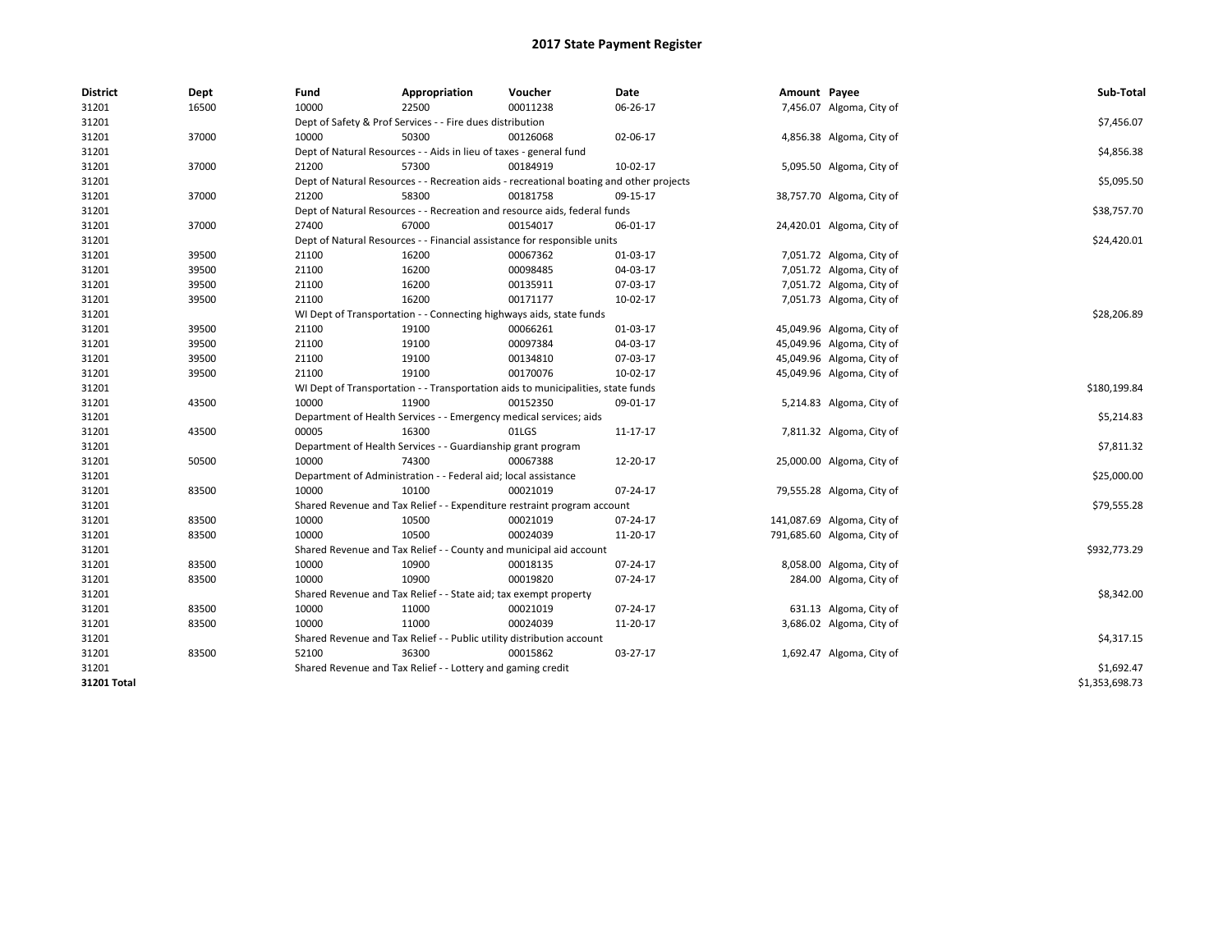| <b>District</b> | Dept  | Fund                                                      | Appropriation                                                                           | Voucher  | Date     | Amount Payee |                            | Sub-Total      |  |  |  |
|-----------------|-------|-----------------------------------------------------------|-----------------------------------------------------------------------------------------|----------|----------|--------------|----------------------------|----------------|--|--|--|
| 31201           | 16500 | 10000                                                     | 22500                                                                                   | 00011238 | 06-26-17 |              | 7,456.07 Algoma, City of   |                |  |  |  |
| 31201           |       | Dept of Safety & Prof Services - - Fire dues distribution | \$7,456.07                                                                              |          |          |              |                            |                |  |  |  |
| 31201           | 37000 | 10000                                                     | 50300                                                                                   | 00126068 | 02-06-17 |              | 4,856.38 Algoma, City of   |                |  |  |  |
| 31201           |       |                                                           | Dept of Natural Resources - - Aids in lieu of taxes - general fund                      |          |          |              |                            |                |  |  |  |
| 31201           | 37000 | 21200                                                     | 57300                                                                                   | 00184919 | 10-02-17 |              | 5,095.50 Algoma, City of   |                |  |  |  |
| 31201           |       |                                                           | Dept of Natural Resources - - Recreation aids - recreational boating and other projects |          |          |              |                            | \$5,095.50     |  |  |  |
| 31201           | 37000 | 21200                                                     | 58300                                                                                   | 00181758 | 09-15-17 |              | 38,757.70 Algoma, City of  |                |  |  |  |
| 31201           |       |                                                           | Dept of Natural Resources - - Recreation and resource aids, federal funds               |          |          |              |                            |                |  |  |  |
| 31201           | 37000 | 27400                                                     | 67000                                                                                   | 00154017 | 06-01-17 |              | 24,420.01 Algoma, City of  |                |  |  |  |
| 31201           |       |                                                           | Dept of Natural Resources - - Financial assistance for responsible units                |          |          |              |                            | \$24,420.01    |  |  |  |
| 31201           | 39500 | 21100                                                     | 16200                                                                                   | 00067362 | 01-03-17 |              | 7,051.72 Algoma, City of   |                |  |  |  |
| 31201           | 39500 | 21100                                                     | 16200                                                                                   | 00098485 | 04-03-17 |              | 7,051.72 Algoma, City of   |                |  |  |  |
| 31201           | 39500 | 21100                                                     | 16200                                                                                   | 00135911 | 07-03-17 |              | 7,051.72 Algoma, City of   |                |  |  |  |
| 31201           | 39500 | 21100                                                     | 16200                                                                                   | 00171177 | 10-02-17 |              | 7,051.73 Algoma, City of   |                |  |  |  |
| 31201           |       |                                                           | WI Dept of Transportation - - Connecting highways aids, state funds                     |          |          |              |                            | \$28,206.89    |  |  |  |
| 31201           | 39500 | 21100                                                     | 19100                                                                                   | 00066261 | 01-03-17 |              | 45,049.96 Algoma, City of  |                |  |  |  |
| 31201           | 39500 | 21100                                                     | 19100                                                                                   | 00097384 | 04-03-17 |              | 45,049.96 Algoma, City of  |                |  |  |  |
| 31201           | 39500 | 21100                                                     | 19100                                                                                   | 00134810 | 07-03-17 |              | 45,049.96 Algoma, City of  |                |  |  |  |
| 31201           | 39500 | 21100                                                     | 19100                                                                                   | 00170076 | 10-02-17 |              | 45,049.96 Algoma, City of  |                |  |  |  |
| 31201           |       |                                                           | WI Dept of Transportation - - Transportation aids to municipalities, state funds        |          |          |              |                            | \$180,199.84   |  |  |  |
| 31201           | 43500 | 10000                                                     | 11900                                                                                   | 00152350 | 09-01-17 |              | 5,214.83 Algoma, City of   |                |  |  |  |
| 31201           |       |                                                           | Department of Health Services - - Emergency medical services; aids                      |          |          |              |                            | \$5,214.83     |  |  |  |
| 31201           | 43500 | 00005                                                     | 16300                                                                                   | 01LGS    | 11-17-17 |              | 7,811.32 Algoma, City of   |                |  |  |  |
| 31201           |       |                                                           | Department of Health Services - - Guardianship grant program                            |          |          |              |                            | \$7,811.32     |  |  |  |
| 31201           | 50500 | 10000                                                     | 74300                                                                                   | 00067388 | 12-20-17 |              | 25,000.00 Algoma, City of  |                |  |  |  |
| 31201           |       |                                                           | Department of Administration - - Federal aid; local assistance                          |          |          |              |                            | \$25,000.00    |  |  |  |
| 31201           | 83500 | 10000                                                     | 10100                                                                                   | 00021019 | 07-24-17 |              | 79,555.28 Algoma, City of  |                |  |  |  |
| 31201           |       |                                                           | Shared Revenue and Tax Relief - - Expenditure restraint program account                 |          |          |              |                            | \$79,555.28    |  |  |  |
| 31201           | 83500 | 10000                                                     | 10500                                                                                   | 00021019 | 07-24-17 |              | 141,087.69 Algoma, City of |                |  |  |  |
| 31201           | 83500 | 10000                                                     | 10500                                                                                   | 00024039 | 11-20-17 |              | 791,685.60 Algoma, City of |                |  |  |  |
| 31201           |       |                                                           | Shared Revenue and Tax Relief - - County and municipal aid account                      |          |          |              |                            | \$932,773.29   |  |  |  |
| 31201           | 83500 | 10000                                                     | 10900                                                                                   | 00018135 | 07-24-17 |              | 8,058.00 Algoma, City of   |                |  |  |  |
| 31201           | 83500 | 10000                                                     | 10900                                                                                   | 00019820 | 07-24-17 |              | 284.00 Algoma, City of     |                |  |  |  |
| 31201           |       |                                                           | Shared Revenue and Tax Relief - - State aid; tax exempt property                        |          |          |              |                            | \$8,342.00     |  |  |  |
| 31201           | 83500 | 10000                                                     | 11000                                                                                   | 00021019 | 07-24-17 |              | 631.13 Algoma, City of     |                |  |  |  |
| 31201           | 83500 | 10000                                                     | 11000                                                                                   | 00024039 | 11-20-17 |              | 3,686.02 Algoma, City of   |                |  |  |  |
| 31201           |       |                                                           | Shared Revenue and Tax Relief - - Public utility distribution account                   |          |          |              |                            | \$4,317.15     |  |  |  |
| 31201           | 83500 | 52100                                                     | 36300                                                                                   | 00015862 | 03-27-17 |              | 1,692.47 Algoma, City of   |                |  |  |  |
| 31201           |       |                                                           | Shared Revenue and Tax Relief - - Lottery and gaming credit                             |          |          |              |                            | \$1,692.47     |  |  |  |
| 31201 Total     |       |                                                           |                                                                                         |          |          |              |                            | \$1,353,698.73 |  |  |  |